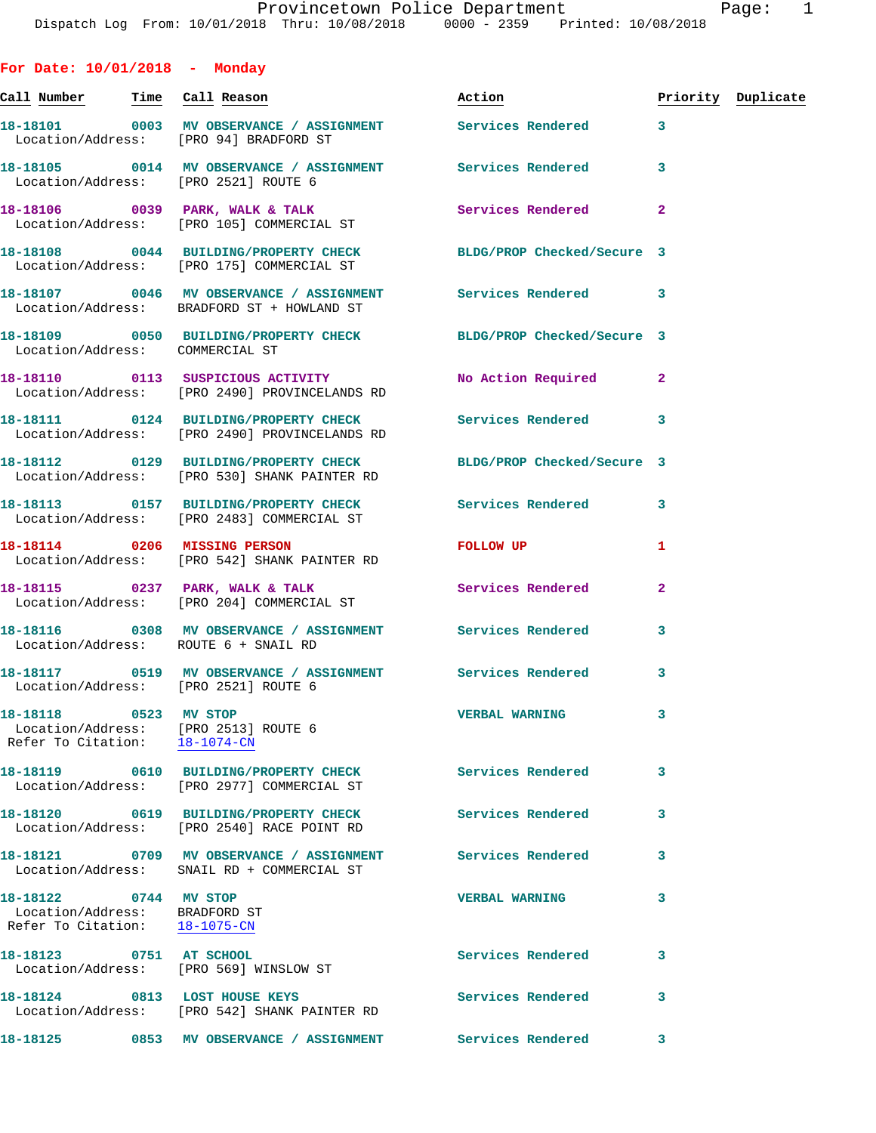**For Date: 10/01/2018 - Monday Call Number Time Call Reason Action Priority Duplicate 18-18101 0003 MV OBSERVANCE / ASSIGNMENT Services Rendered 3**  Location/Address: [PRO 94] BRADFORD ST **18-18105 0014 MV OBSERVANCE / ASSIGNMENT Services Rendered 3**  Location/Address: [PRO 2521] ROUTE 6 18-18106 **0039 PARK, WALK & TALK Services Rendered** 2 Location/Address: [PRO 105] COMMERCIAL ST **18-18108 0044 BUILDING/PROPERTY CHECK BLDG/PROP Checked/Secure 3**  Location/Address: [PRO 175] COMMERCIAL ST **18-18107 0046 MV OBSERVANCE / ASSIGNMENT Services Rendered 3**  Location/Address: BRADFORD ST + HOWLAND ST **18-18109 0050 BUILDING/PROPERTY CHECK BLDG/PROP Checked/Secure 3**  Location/Address: COMMERCIAL ST **18-18110 0113 SUSPICIOUS ACTIVITY No Action Required 2**  Location/Address: [PRO 2490] PROVINCELANDS RD **18-18111 0124 BUILDING/PROPERTY CHECK Services Rendered 3**  Location/Address: [PRO 2490] PROVINCELANDS RD **18-18112 0129 BUILDING/PROPERTY CHECK BLDG/PROP Checked/Secure 3**  Location/Address: [PRO 530] SHANK PAINTER RD **18-18113 0157 BUILDING/PROPERTY CHECK Services Rendered 3**  Location/Address: [PRO 2483] COMMERCIAL ST **18-18114 0206 MISSING PERSON FOLLOW UP 1**  Location/Address: [PRO 542] SHANK PAINTER RD **18-18115 0237 PARK, WALK & TALK Services Rendered 2**  Location/Address: [PRO 204] COMMERCIAL ST **18-18116 0308 MV OBSERVANCE / ASSIGNMENT Services Rendered 3**  Location/Address: ROUTE 6 + SNAIL RD **18-18117 0519 MV OBSERVANCE / ASSIGNMENT Services Rendered 3**  Location/Address: [PRO 2521] ROUTE 6 **18-18118 0523 MV STOP VERBAL WARNING 3**  Location/Address: [PRO 2513] ROUTE 6 Refer To Citation: 18-1074-CN **18-18119 0610 BUILDING/PROPERTY CHECK Services Rendered 3**  Location/Address: [PRO 2977] COMMERCIAL ST **18-18120 0619 BUILDING/PROPERTY CHECK Services Rendered 3**  Location/Address: [PRO 2540] RACE POINT RD **18-18121 0709 MV OBSERVANCE / ASSIGNMENT Services Rendered 3**  Location/Address: SNAIL RD + COMMERCIAL ST **18-18122 0744 MV STOP VERBAL WARNING 3**  Location/Address: BRADFORD ST Refer To Citation: 18-1075-CN **18-18123 0751 AT SCHOOL Services Rendered 3** 

**18-18124 0813 LOST HOUSE KEYS Services Rendered 3**  Location/Address: [PRO 542] SHANK PAINTER RD

Location/Address: [PRO 569] WINSLOW ST

**18-18125 0853 MV OBSERVANCE / ASSIGNMENT Services Rendered 3**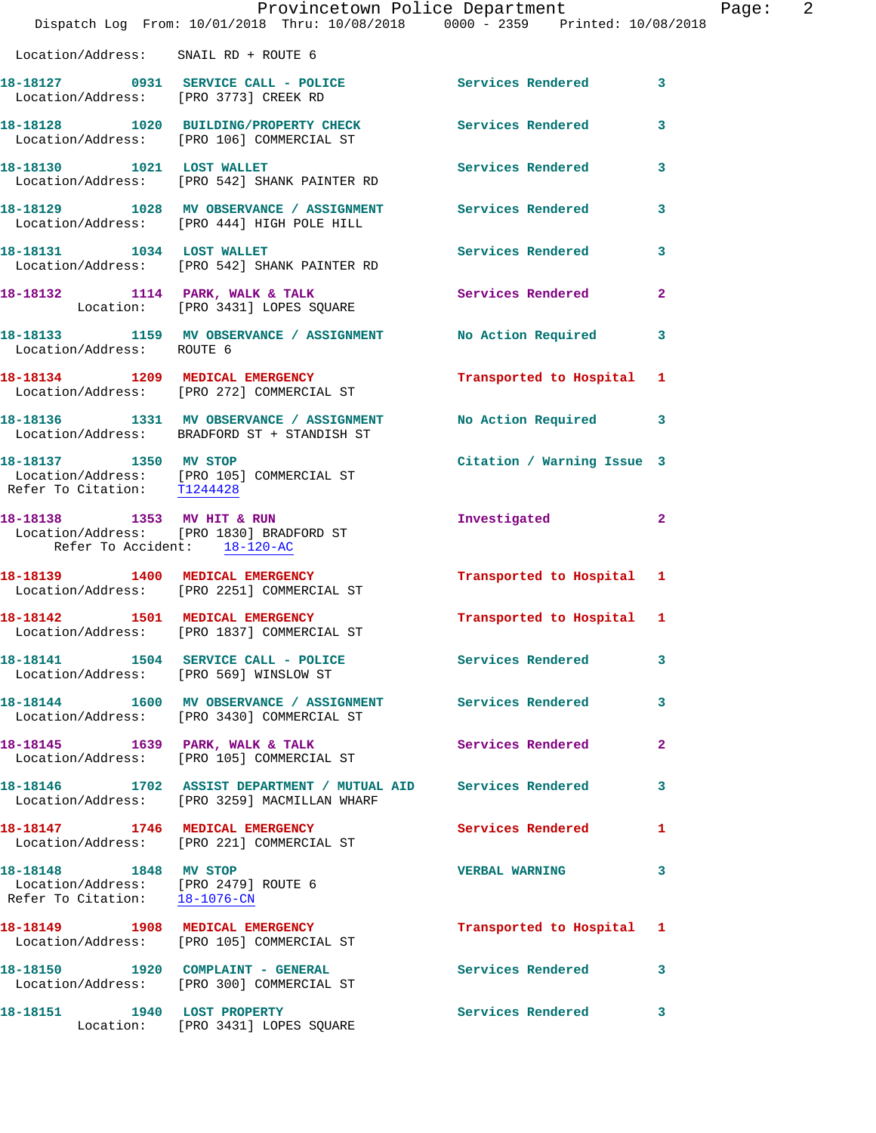|                                                                                                | Provincetown Police Department                                                                                  |                            |                |
|------------------------------------------------------------------------------------------------|-----------------------------------------------------------------------------------------------------------------|----------------------------|----------------|
|                                                                                                | Dispatch Log From: 10/01/2018 Thru: 10/08/2018 0000 - 2359 Printed: 10/08/2018                                  |                            |                |
| Location/Address: SNAIL RD + ROUTE 6                                                           |                                                                                                                 |                            |                |
| Location/Address: [PRO 3773] CREEK RD                                                          | 18-18127 0931 SERVICE CALL - POLICE                                                                             | Services Rendered          | 3              |
|                                                                                                | 18-18128 1020 BUILDING/PROPERTY CHECK<br>Location/Address: [PRO 106] COMMERCIAL ST                              | Services Rendered          | 3              |
|                                                                                                | 18-18130 1021 LOST WALLET<br>Location/Address: [PRO 542] SHANK PAINTER RD                                       | Services Rendered          | 3              |
|                                                                                                | 18-18129 1028 MV OBSERVANCE / ASSIGNMENT Services Rendered<br>Location/Address: [PRO 444] HIGH POLE HILL        |                            | 3              |
| 18-18131 1034 LOST WALLET                                                                      | Location/Address: [PRO 542] SHANK PAINTER RD                                                                    | Services Rendered          | 3              |
|                                                                                                | 18-18132 1114 PARK, WALK & TALK<br>Location: [PRO 3431] LOPES SQUARE                                            | Services Rendered          | $\overline{2}$ |
| Location/Address: ROUTE 6                                                                      | 18-18133 1159 MV OBSERVANCE / ASSIGNMENT No Action Required                                                     |                            | 3              |
|                                                                                                | 18-18134 1209 MEDICAL EMERGENCY<br>Location/Address: [PRO 272] COMMERCIAL ST                                    | Transported to Hospital    | 1              |
|                                                                                                | 18-18136 1331 MV OBSERVANCE / ASSIGNMENT No Action Required<br>Location/Address: BRADFORD ST + STANDISH ST      |                            | 3              |
| 18-18137 1350 MV STOP<br>Refer To Citation: T1244428                                           | Location/Address: [PRO 105] COMMERCIAL ST                                                                       | Citation / Warning Issue 3 |                |
| Refer To Accident: 18-120-AC                                                                   | 18-18138 1353 MV HIT & RUN<br>Location/Address: [PRO 1830] BRADFORD ST                                          | Investigated               | $\overline{2}$ |
|                                                                                                | 18-18139 1400 MEDICAL EMERGENCY<br>Location/Address: [PRO 2251] COMMERCIAL ST                                   | Transported to Hospital 1  |                |
| 18-18142 1501 MEDICAL EMERGENCY                                                                | Location/Address: [PRO 1837] COMMERCIAL ST                                                                      | Transported to Hospital 1  |                |
|                                                                                                | 18-18141 1504 SERVICE CALL - POLICE 2012 Services Rendered<br>Location/Address: [PRO 569] WINSLOW ST            |                            | 3              |
|                                                                                                | 18-18144 1600 MV OBSERVANCE / ASSIGNMENT Services Rendered<br>Location/Address: [PRO 3430] COMMERCIAL ST        |                            | 3              |
|                                                                                                | 18-18145 1639 PARK, WALK & TALK<br>Location/Address: [PRO 105] COMMERCIAL ST                                    | Services Rendered          | $\mathbf{2}$   |
|                                                                                                | 18-18146  1702 ASSIST DEPARTMENT / MUTUAL AID Services Rendered<br>Location/Address: [PRO 3259] MACMILLAN WHARF |                            | 3              |
|                                                                                                | 18-18147 1746 MEDICAL EMERGENCY<br>Location/Address: [PRO 221] COMMERCIAL ST                                    | <b>Services Rendered</b>   | 1              |
| 18-18148 1848 MV STOP<br>Location/Address: [PRO 2479] ROUTE 6<br>Refer To Citation: 18-1076-CN |                                                                                                                 | <b>VERBAL WARNING</b>      | 3              |
|                                                                                                | 18-18149 1908 MEDICAL EMERGENCY<br>Location/Address: [PRO 105] COMMERCIAL ST                                    | Transported to Hospital 1  |                |
|                                                                                                | 18-18150 1920 COMPLAINT - GENERAL<br>Location/Address: [PRO 300] COMMERCIAL ST                                  | Services Rendered          | 3              |
|                                                                                                | 18-18151 1940 LOST PROPERTY<br>Location: [PRO 3431] LOPES SQUARE                                                | Services Rendered          | 3              |

Page: 2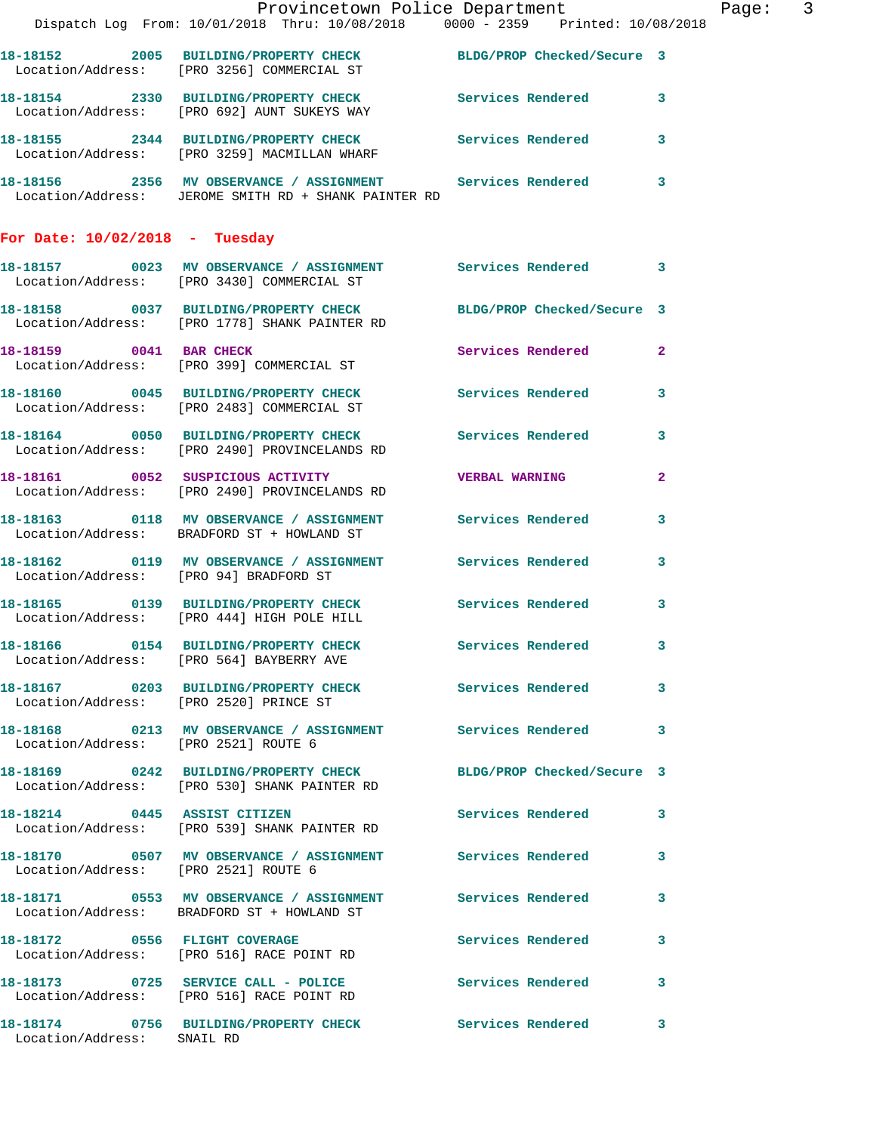|                                      | Provincetown Police Department                                                                                        |                          |                | Page: 3 |  |
|--------------------------------------|-----------------------------------------------------------------------------------------------------------------------|--------------------------|----------------|---------|--|
|                                      | Dispatch Log From: 10/01/2018 Thru: 10/08/2018 0000 - 2359 Printed: 10/08/2018                                        |                          |                |         |  |
|                                      | 18-18152 2005 BUILDING/PROPERTY CHECK BLDG/PROP Checked/Secure 3<br>Location/Address: [PRO 3256] COMMERCIAL ST        |                          |                |         |  |
|                                      | 18-18154 2330 BUILDING/PROPERTY CHECK Services Rendered 3<br>Location/Address: [PRO 692] AUNT SUKEYS WAY              |                          |                |         |  |
|                                      | 18-18155 2344 BUILDING/PROPERTY CHECK Services Rendered 3<br>Location/Address: [PRO 3259] MACMILLAN WHARF             |                          |                |         |  |
|                                      | 18-18156  2356 MV OBSERVANCE / ASSIGNMENT Services Rendered 3<br>Location/Address: JEROME SMITH RD + SHANK PAINTER RD |                          |                |         |  |
| For Date: $10/02/2018$ - Tuesday     |                                                                                                                       |                          |                |         |  |
|                                      | 18-18157 0023 MV OBSERVANCE / ASSIGNMENT Services Rendered 3<br>Location/Address: [PRO 3430] COMMERCIAL ST            |                          |                |         |  |
|                                      | 18-18158 0037 BUILDING/PROPERTY CHECK BLDG/PROP Checked/Secure 3<br>Location/Address: [PRO 1778] SHANK PAINTER RD     |                          |                |         |  |
|                                      | 18-18159 0041 BAR CHECK<br>Location/Address: [PRO 399] COMMERCIAL ST                                                  | Services Rendered 2      |                |         |  |
|                                      | 18-18160 0045 BUILDING/PROPERTY CHECK Services Rendered 3<br>Location/Address: [PRO 2483] COMMERCIAL ST               |                          |                |         |  |
|                                      | 18-18164 0050 BUILDING/PROPERTY CHECK Services Rendered 3<br>Location/Address: [PRO 2490] PROVINCELANDS RD            |                          |                |         |  |
|                                      | 18-18161 0052 SUSPICIOUS ACTIVITY VERBAL WARNING<br>Location/Address: [PRO 2490] PROVINCELANDS RD                     |                          | $\overline{2}$ |         |  |
|                                      | 18-18163 0118 MV OBSERVANCE / ASSIGNMENT Services Rendered<br>Location/Address: BRADFORD ST + HOWLAND ST              |                          | 3              |         |  |
|                                      | 18-18162  0119 MV OBSERVANCE / ASSIGNMENT Services Rendered 3<br>Location/Address: [PRO 94] BRADFORD ST               |                          |                |         |  |
|                                      | 18-18165 0139 BUILDING/PROPERTY CHECK Services Rendered 3<br>Location/Address: [PRO 444] HIGH POLE HILL               |                          |                |         |  |
|                                      | 18-18166 0154 BUILDING/PROPERTY CHECK<br>Location/Address: [PRO 564] BAYBERRY AVE                                     | Services Rendered 3      |                |         |  |
|                                      | 18-18167 		 0203 BUILDING/PROPERTY CHECK Services Rendered<br>Location/Address: [PRO 2520] PRINCE ST                  |                          | $\mathbf{3}$   |         |  |
| Location/Address: [PRO 2521] ROUTE 6 | 18-18168 0213 MV OBSERVANCE / ASSIGNMENT Services Rendered 3                                                          |                          |                |         |  |
|                                      | 18-18169 0242 BUILDING/PROPERTY CHECK BLDG/PROP Checked/Secure 3<br>Location/Address: [PRO 530] SHANK PAINTER RD      |                          |                |         |  |
|                                      | 18-18214 0445 ASSIST CITIZEN<br>Location/Address: [PRO 539] SHANK PAINTER RD                                          | Services Rendered 3      |                |         |  |
| Location/Address: [PRO 2521] ROUTE 6 | 18-18170 0507 MV OBSERVANCE / ASSIGNMENT Services Rendered 3                                                          |                          |                |         |  |
|                                      | 18-18171 0553 MV OBSERVANCE / ASSIGNMENT Services Rendered 3<br>Location/Address: BRADFORD ST + HOWLAND ST            |                          |                |         |  |
|                                      | 18-18172 0556 FLIGHT COVERAGE<br>Location/Address: [PRO 516] RACE POINT RD                                            | <b>Services Rendered</b> | $\mathbf{3}$   |         |  |
|                                      | 18-18173 0725 SERVICE CALL - POLICE 3 Services Rendered 3<br>Location/Address: [PRO 516] RACE POINT RD                |                          |                |         |  |
| Location/Address: SNAIL RD           | 18-18174 0756 BUILDING/PROPERTY CHECK Services Rendered 3                                                             |                          |                |         |  |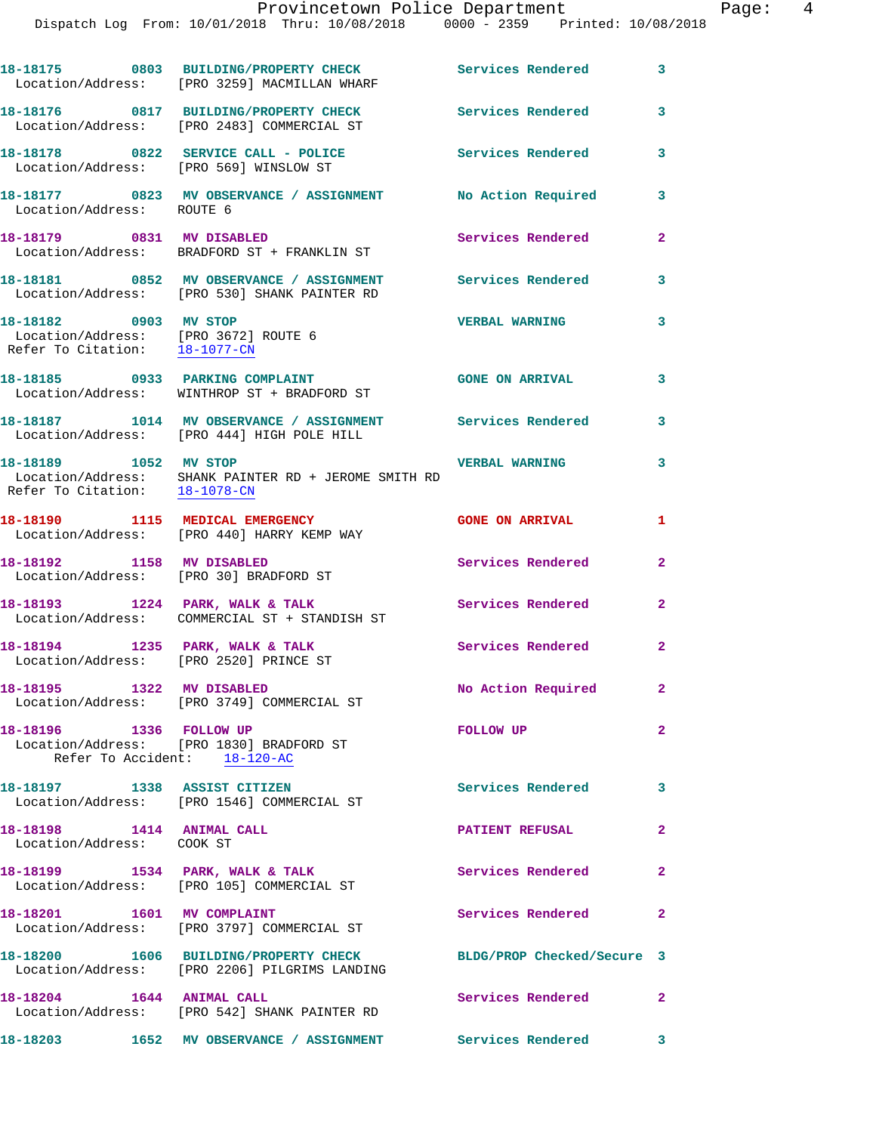|                                                                                                | 18-18175 0803 BUILDING/PROPERTY CHECK Services Rendered<br>Location/Address: [PRO 3259] MACMILLAN WHARF    |                            | 3              |
|------------------------------------------------------------------------------------------------|------------------------------------------------------------------------------------------------------------|----------------------------|----------------|
|                                                                                                | 18-18176 0817 BUILDING/PROPERTY CHECK<br>Location/Address: [PRO 2483] COMMERCIAL ST                        | <b>Services Rendered</b>   | 3              |
| Location/Address: [PRO 569] WINSLOW ST                                                         | 18-18178 0822 SERVICE CALL - POLICE                                                                        | <b>Services Rendered</b>   | 3              |
| Location/Address: ROUTE 6                                                                      | 18-18177 0823 MV OBSERVANCE / ASSIGNMENT No Action Required                                                |                            | 3              |
| 18-18179 0831 MV DISABLED                                                                      | Location/Address: BRADFORD ST + FRANKLIN ST                                                                | <b>Services Rendered</b>   | $\mathbf{2}$   |
|                                                                                                | 18-18181 0852 MV OBSERVANCE / ASSIGNMENT Services Rendered<br>Location/Address: [PRO 530] SHANK PAINTER RD |                            | 3              |
| 18-18182 0903 MV STOP<br>Location/Address: [PRO 3672] ROUTE 6<br>Refer To Citation: 18-1077-CN |                                                                                                            | <b>VERBAL WARNING</b>      | 3              |
|                                                                                                | 18-18185 0933 PARKING COMPLAINT<br>Location/Address: WINTHROP ST + BRADFORD ST                             | <b>GONE ON ARRIVAL</b>     | 3              |
|                                                                                                | 18-18187 1014 MV OBSERVANCE / ASSIGNMENT Services Rendered<br>Location/Address: [PRO 444] HIGH POLE HILL   |                            | 3              |
| 18-18189 1052 MV STOP                                                                          | Location/Address: SHANK PAINTER RD + JEROME SMITH RD<br>Refer To Citation: $18-1078$ -CN                   | <b>VERBAL WARNING</b>      | 3              |
|                                                                                                | 18-18190 1115 MEDICAL EMERGENCY<br>Location/Address: [PRO 440] HARRY KEMP WAY                              | <b>GONE ON ARRIVAL</b>     | $\mathbf{1}$   |
| 18-18192 1158 MV DISABLED                                                                      | Location/Address: [PRO 30] BRADFORD ST                                                                     | Services Rendered          | $\mathbf{2}$   |
|                                                                                                | 18-18193 1224 PARK, WALK & TALK<br>Location/Address: COMMERCIAL ST + STANDISH ST                           | Services Rendered          | $\mathbf{2}$   |
| 18-18194 1235 PARK, WALK & TALK<br>Location/Address: [PRO 2520] PRINCE ST                      |                                                                                                            | Services Rendered          | $\mathbf{2}$   |
| 18-18195 1322 MV DISABLED                                                                      | Location/Address: [PRO 3749] COMMERCIAL ST                                                                 | No Action Required         | $\mathbf{2}^-$ |
| 18-18196   1336   FOLLOW UP                                                                    | Location/Address: [PRO 1830] BRADFORD ST<br>Refer To Accident: 18-120-AC                                   | FOLLOW UP                  | $\overline{2}$ |
| 18-18197 1338 ASSIST CITIZEN                                                                   | Location/Address: [PRO 1546] COMMERCIAL ST                                                                 | Services Rendered          | 3              |
| 18-18198 1414 ANIMAL CALL<br>Location/Address: COOK ST                                         |                                                                                                            | <b>PATIENT REFUSAL</b>     | $\overline{2}$ |
|                                                                                                | 18-18199 1534 PARK, WALK & TALK<br>Location/Address: [PRO 105] COMMERCIAL ST                               | Services Rendered          | $\mathbf{2}$   |
| 18-18201 1601 MV COMPLAINT                                                                     | Location/Address: [PRO 3797] COMMERCIAL ST                                                                 | Services Rendered          | $\mathbf{2}$   |
|                                                                                                | 18-18200 1606 BUILDING/PROPERTY CHECK<br>Location/Address: [PRO 2206] PILGRIMS LANDING                     | BLDG/PROP Checked/Secure 3 |                |
| 18-18204   1644   ANIMAL CALL                                                                  | Location/Address: [PRO 542] SHANK PAINTER RD                                                               | Services Rendered          | $\mathbf{2}$   |
|                                                                                                | 18-18203 1652 MV OBSERVANCE / ASSIGNMENT Services Rendered 3                                               |                            |                |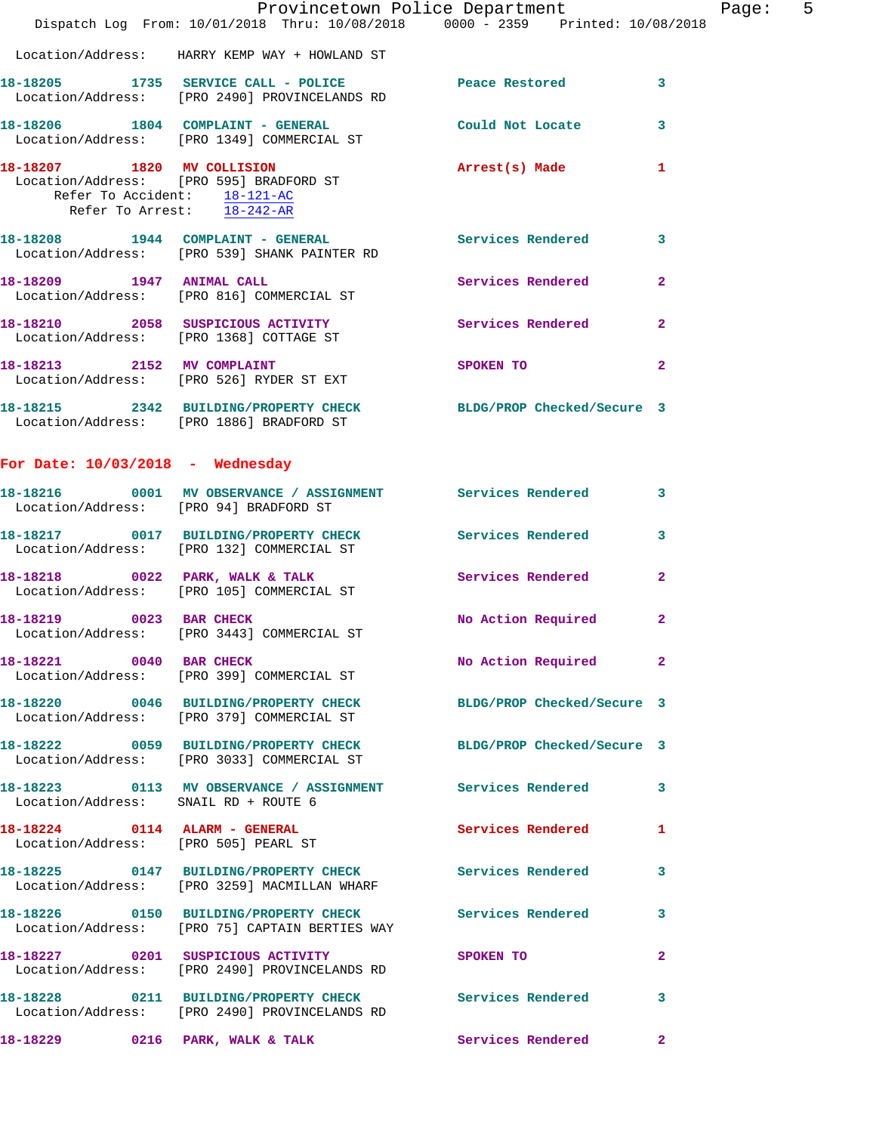|                                                            |                                                                                                                | Provincetown Police Department                                                  |                | Page: 5 |  |
|------------------------------------------------------------|----------------------------------------------------------------------------------------------------------------|---------------------------------------------------------------------------------|----------------|---------|--|
|                                                            | Dispatch Log From: 10/01/2018 Thru: 10/08/2018 0000 - 2359 Printed: 10/08/2018                                 |                                                                                 |                |         |  |
|                                                            | Location/Address: HARRY KEMP WAY + HOWLAND ST                                                                  |                                                                                 |                |         |  |
|                                                            | 18-18205 1735 SERVICE CALL - POLICE Peace Restored 3<br>Location/Address: [PRO 2490] PROVINCELANDS RD          |                                                                                 |                |         |  |
|                                                            | 18-18206 1804 COMPLAINT - GENERAL Could Not Locate 3<br>Location/Address: [PRO 1349] COMMERCIAL ST             |                                                                                 |                |         |  |
| Refer To Accident: 18-121-AC<br>Refer To Arrest: 18-242-AR | 18-18207 1820 MV COLLISION<br>Location/Address: [PRO 595] BRADFORD ST                                          | Arrest(s) Made 1                                                                |                |         |  |
|                                                            | 18-18208 1944 COMPLAINT - GENERAL Services Rendered 3<br>Location/Address: [PRO 539] SHANK PAINTER RD          |                                                                                 |                |         |  |
|                                                            | 18-18209 1947 ANIMAL CALL<br>Location/Address: [PRO 816] COMMERCIAL ST                                         | Services Rendered 2                                                             |                |         |  |
|                                                            | 18-18210 2058 SUSPICIOUS ACTIVITY Services Rendered 2<br>Location/Address: [PRO 1368] COTTAGE ST               |                                                                                 |                |         |  |
|                                                            | 18-18213 2152 MV COMPLAINT<br>Location/Address: [PRO 526] RYDER ST EXT                                         | SPOKEN TO AND THE SPOKEN TO                                                     | $\overline{2}$ |         |  |
|                                                            | 18-18215 2342 BUILDING/PROPERTY CHECK BLDG/PROP Checked/Secure 3<br>Location/Address: [PRO 1886] BRADFORD ST   |                                                                                 |                |         |  |
| For Date: $10/03/2018$ - Wednesday                         |                                                                                                                |                                                                                 |                |         |  |
|                                                            | 18-18216 0001 MV OBSERVANCE / ASSIGNMENT Services Rendered 3<br>Location/Address: [PRO 94] BRADFORD ST         |                                                                                 |                |         |  |
|                                                            | 18-18217   0017   BUILDING/PROPERTY CHECK   Services Rendered   3<br>Location/Address: [PRO 132] COMMERCIAL ST |                                                                                 |                |         |  |
|                                                            | 18-18218 0022 PARK, WALK & TALK Services Rendered<br>Location/Address: [PRO 105] COMMERCIAL ST                 |                                                                                 | $\overline{2}$ |         |  |
|                                                            | 18-18219 0023 BAR CHECK<br>Location/Address: [PRO 3443] COMMERCIAL ST                                          | No Action Required                                                              | $\mathbf{2}$   |         |  |
|                                                            | 18-18221 0040 BAR CHECK<br>Location/Address: [PRO 399] COMMERCIAL ST                                           | No Action Required 2                                                            |                |         |  |
|                                                            | 18-18220 0046 BUILDING/PROPERTY CHECK BLDG/PROP Checked/Secure 3<br>Location/Address: [PRO 379] COMMERCIAL ST  |                                                                                 |                |         |  |
|                                                            | 18-18222 0059 BUILDING/PROPERTY CHECK BLDG/PROP Checked/Secure 3<br>Location/Address: [PRO 3033] COMMERCIAL ST |                                                                                 |                |         |  |
| Location/Address: SNAIL RD + ROUTE 6                       | 18-18223 0113 MV OBSERVANCE / ASSIGNMENT Services Rendered 3                                                   |                                                                                 |                |         |  |
|                                                            | 18-18224 0114 ALARM - GENERAL<br>Location/Address: [PRO 505] PEARL ST                                          | Services Rendered 1                                                             |                |         |  |
|                                                            | 18-18225 0147 BUILDING/PROPERTY CHECK Services Rendered 3<br>Location/Address: [PRO 3259] MACMILLAN WHARF      |                                                                                 |                |         |  |
|                                                            | 18-18226 0150 BUILDING/PROPERTY CHECK Services Rendered 3<br>Location/Address: [PRO 75] CAPTAIN BERTIES WAY    |                                                                                 |                |         |  |
|                                                            | 18-18227 0201 SUSPICIOUS ACTIVITY<br>Location/Address: [PRO 2490] PROVINCELANDS RD                             | SPOKEN TO AND TO A STRUCK TO A THING OF THE STRUCK OF THE STRUCK OF THE STRUCK. | $\mathbf{2}$   |         |  |
|                                                            | 18-18228 0211 BUILDING/PROPERTY CHECK Services Rendered 3<br>Location/Address: [PRO 2490] PROVINCELANDS RD     |                                                                                 |                |         |  |
|                                                            | 18-18229 0216 PARK, WALK & TALK                                                                                | Services Rendered 2                                                             |                |         |  |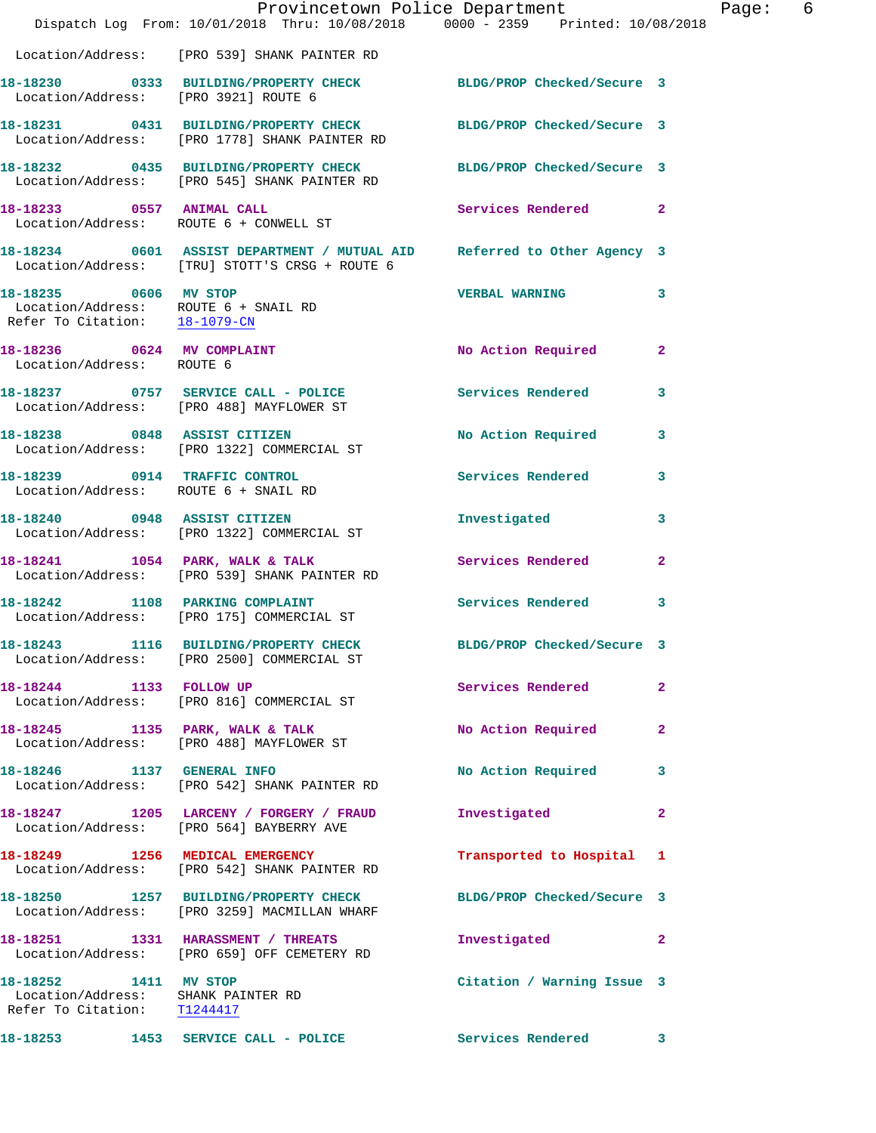|                                                                                            | Dispatch Log From: 10/01/2018 Thru: 10/08/2018 0000 - 2359 Printed: 10/08/2018                                            | Provincetown Police Department |              | Page: 6 |  |
|--------------------------------------------------------------------------------------------|---------------------------------------------------------------------------------------------------------------------------|--------------------------------|--------------|---------|--|
|                                                                                            | Location/Address: [PRO 539] SHANK PAINTER RD                                                                              |                                |              |         |  |
| Location/Address: [PRO 3921] ROUTE 6                                                       | 18-18230 0333 BUILDING/PROPERTY CHECK BLDG/PROP Checked/Secure 3                                                          |                                |              |         |  |
|                                                                                            | 18-18231 0431 BUILDING/PROPERTY CHECK BLDG/PROP Checked/Secure 3<br>Location/Address: [PRO 1778] SHANK PAINTER RD         |                                |              |         |  |
|                                                                                            | 18-18232 0435 BUILDING/PROPERTY CHECK BLDG/PROP Checked/Secure 3<br>Location/Address: [PRO 545] SHANK PAINTER RD          |                                |              |         |  |
|                                                                                            | 18-18233 0557 ANIMAL CALL<br>Location/Address: ROUTE 6 + CONWELL ST                                                       | Services Rendered 2            |              |         |  |
|                                                                                            | 18-18234 0601 ASSIST DEPARTMENT / MUTUAL AID Referred to Other Agency 3<br>Location/Address: [TRU] STOTT'S CRSG + ROUTE 6 |                                |              |         |  |
| 18-18235 0606 MV STOP<br>Refer To Citation: 18-1079-CN                                     | Location/Address: ROUTE 6 + SNAIL RD                                                                                      | <b>VERBAL WARNING</b>          | 3            |         |  |
| 18-18236 0624 MV COMPLAINT<br>Location/Address: ROUTE 6                                    |                                                                                                                           | No Action Required 2           |              |         |  |
|                                                                                            | 18-18237 0757 SERVICE CALL - POLICE 3 Services Rendered 3<br>Location/Address: [PRO 488] MAYFLOWER ST                     |                                |              |         |  |
|                                                                                            | 18-18238 0848 ASSIST CITIZEN<br>Location/Address: [PRO 1322] COMMERCIAL ST                                                | No Action Required             | $\mathbf{3}$ |         |  |
|                                                                                            | 18-18239 0914 TRAFFIC CONTROL<br>Location/Address: ROUTE 6 + SNAIL RD                                                     | Services Rendered 3            |              |         |  |
|                                                                                            | 18-18240 0948 ASSIST CITIZEN<br>Location/Address: [PRO 1322] COMMERCIAL ST                                                | Investigated                   | 3            |         |  |
|                                                                                            | 18-18241 1054 PARK, WALK & TALK<br>Location/Address: [PRO 539] SHANK PAINTER RD                                           | Services Rendered              | $\mathbf{2}$ |         |  |
|                                                                                            | 18-18242 1108 PARKING COMPLAINT<br>Location/Address: [PRO 175] COMMERCIAL ST                                              | Services Rendered 3            |              |         |  |
|                                                                                            | 18-18243 1116 BUILDING/PROPERTY CHECK<br>Location/Address: [PRO 2500] COMMERCIAL ST                                       | BLDG/PROP Checked/Secure 3     |              |         |  |
|                                                                                            | 18-18244 1133 FOLLOW UP<br>Location/Address: [PRO 816] COMMERCIAL ST                                                      | Services Rendered              | $\mathbf{2}$ |         |  |
|                                                                                            | 18-18245 1135 PARK, WALK & TALK<br>Location/Address: [PRO 488] MAYFLOWER ST                                               | No Action Required             | $\mathbf{2}$ |         |  |
|                                                                                            | 18-18246    1137    GENERAL INFO<br>Location/Address: [PRO 542] SHANK PAINTER RD                                          | No Action Required 3           |              |         |  |
|                                                                                            | 18-18247 1205 LARCENY / FORGERY / FRAUD<br>Location/Address: [PRO 564] BAYBERRY AVE                                       | Investigated                   | $\mathbf{2}$ |         |  |
|                                                                                            | 18-18249 1256 MEDICAL EMERGENCY<br>Location/Address: [PRO 542] SHANK PAINTER RD                                           | Transported to Hospital 1      |              |         |  |
|                                                                                            | 18-18250 1257 BUILDING/PROPERTY CHECK<br>Location/Address: [PRO 3259] MACMILLAN WHARF                                     | BLDG/PROP Checked/Secure 3     |              |         |  |
|                                                                                            | 18-18251 1331 HARASSMENT / THREATS<br>Location/Address: [PRO 659] OFF CEMETERY RD                                         | Investigated                   | $\mathbf{2}$ |         |  |
| 18-18252 1411 MV STOP<br>Location/Address: SHANK PAINTER RD<br>Refer To Citation: T1244417 |                                                                                                                           | Citation / Warning Issue 3     |              |         |  |
|                                                                                            | 18-18253 1453 SERVICE CALL - POLICE Services Rendered 3                                                                   |                                |              |         |  |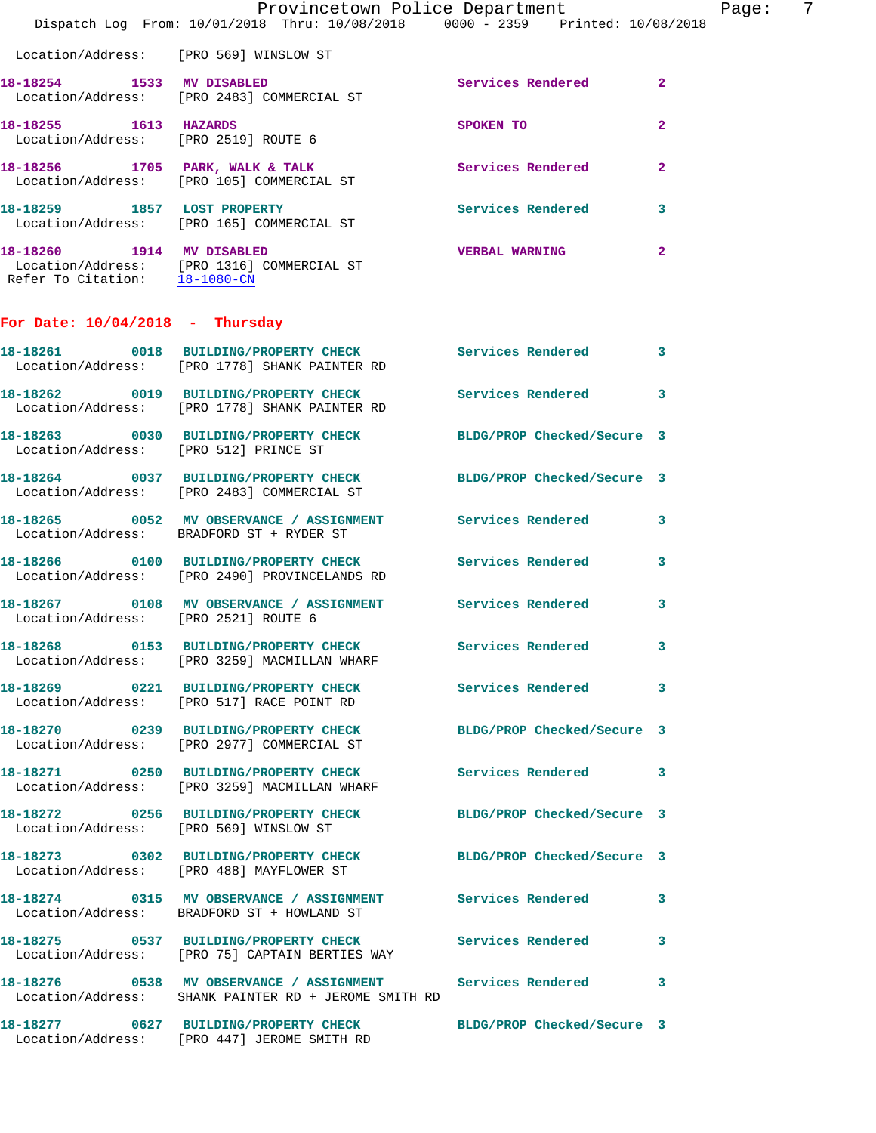|                                                            | Dispatch Log From: 10/01/2018 Thru: 10/08/2018 0000 - 2359 Printed: 10/08/2018                                       | Provincetown Police Department | 7<br>Page:   |
|------------------------------------------------------------|----------------------------------------------------------------------------------------------------------------------|--------------------------------|--------------|
| Location/Address: [PRO 569] WINSLOW ST                     |                                                                                                                      |                                |              |
| 18-18254 1533 MV DISABLED                                  | Location/Address: [PRO 2483] COMMERCIAL ST                                                                           | Services Rendered 2            |              |
| 18-18255 1613 HAZARDS                                      | Location/Address: [PRO 2519] ROUTE 6                                                                                 | SPOKEN TO                      | $\mathbf{2}$ |
|                                                            | 18-18256 1705 PARK, WALK & TALK Services Rendered<br>Location/Address: [PRO 105] COMMERCIAL ST                       |                                | $\mathbf{2}$ |
|                                                            | 18-18259 1857 LOST PROPERTY<br>Location/Address: [PRO 165] COMMERCIAL ST                                             | Services Rendered 3            |              |
| 18-18260 1914 MV DISABLED<br>Refer To Citation: 18-1080-CN | Location/Address: [PRO 1316] COMMERCIAL ST                                                                           | <b>VERBAL WARNING</b>          | $\mathbf{2}$ |
| For Date: $10/04/2018$ - Thursday                          |                                                                                                                      |                                |              |
|                                                            | 18-18261 0018 BUILDING/PROPERTY CHECK Services Rendered 3<br>Location/Address: [PRO 1778] SHANK PAINTER RD           |                                |              |
|                                                            | 18-18262 0019 BUILDING/PROPERTY CHECK Services Rendered 3<br>Location/Address: [PRO 1778] SHANK PAINTER RD           |                                |              |
| Location/Address: [PRO 512] PRINCE ST                      | 18-18263 0030 BUILDING/PROPERTY CHECK BLDG/PROP Checked/Secure 3                                                     |                                |              |
|                                                            | 18-18264 0037 BUILDING/PROPERTY CHECK BLDG/PROP Checked/Secure 3<br>Location/Address: [PRO 2483] COMMERCIAL ST       |                                |              |
|                                                            | 18-18265 0052 MV OBSERVANCE / ASSIGNMENT Services Rendered 3<br>Location/Address: BRADFORD ST + RYDER ST             |                                |              |
|                                                            | 18-18266 0100 BUILDING/PROPERTY CHECK Services Rendered 3<br>Location/Address: [PRO 2490] PROVINCELANDS RD           |                                |              |
| Location/Address: [PRO 2521] ROUTE 6                       | 18-18267 0108 MV OBSERVANCE / ASSIGNMENT Services Rendered                                                           |                                | 3            |
|                                                            | 18-18268 0153 BUILDING/PROPERTY CHECK<br>Location/Address: [PRO 3259] MACMILLAN WHARF                                | Services Rendered 3            |              |
|                                                            | 18-18269 0221 BUILDING/PROPERTY CHECK<br>Location/Address: [PRO 517] RACE POINT RD                                   | <b>Services Rendered</b>       | 3            |
|                                                            | 18-18270 0239 BUILDING/PROPERTY CHECK BLDG/PROP Checked/Secure 3<br>Location/Address: [PRO 2977] COMMERCIAL ST       |                                |              |
|                                                            | 18-18271 0250 BUILDING/PROPERTY CHECK<br>Location/Address: [PRO 3259] MACMILLAN WHARF                                | Services Rendered              | 3            |
|                                                            | 18-18272 0256 BUILDING/PROPERTY CHECK BLDG/PROP Checked/Secure 3<br>Location/Address: [PRO 569] WINSLOW ST           |                                |              |
|                                                            | 18-18273 0302 BUILDING/PROPERTY CHECK<br>Location/Address: [PRO 488] MAYFLOWER ST                                    | BLDG/PROP Checked/Secure 3     |              |
|                                                            | 18-18274 0315 MV OBSERVANCE / ASSIGNMENT Services Rendered 3<br>Location/Address: BRADFORD ST + HOWLAND ST           |                                |              |
|                                                            | 18-18275 0537 BUILDING/PROPERTY CHECK Services Rendered<br>Location/Address: [PRO 75] CAPTAIN BERTIES WAY            |                                | 3            |
|                                                            | 18-18276 0538 MV OBSERVANCE / ASSIGNMENT Services Rendered 3<br>Location/Address: SHANK PAINTER RD + JEROME SMITH RD |                                |              |
|                                                            | 18-18277 0627 BUILDING/PROPERTY CHECK BLDG/PROP Checked/Secure 3                                                     |                                |              |

Location/Address: [PRO 447] JEROME SMITH RD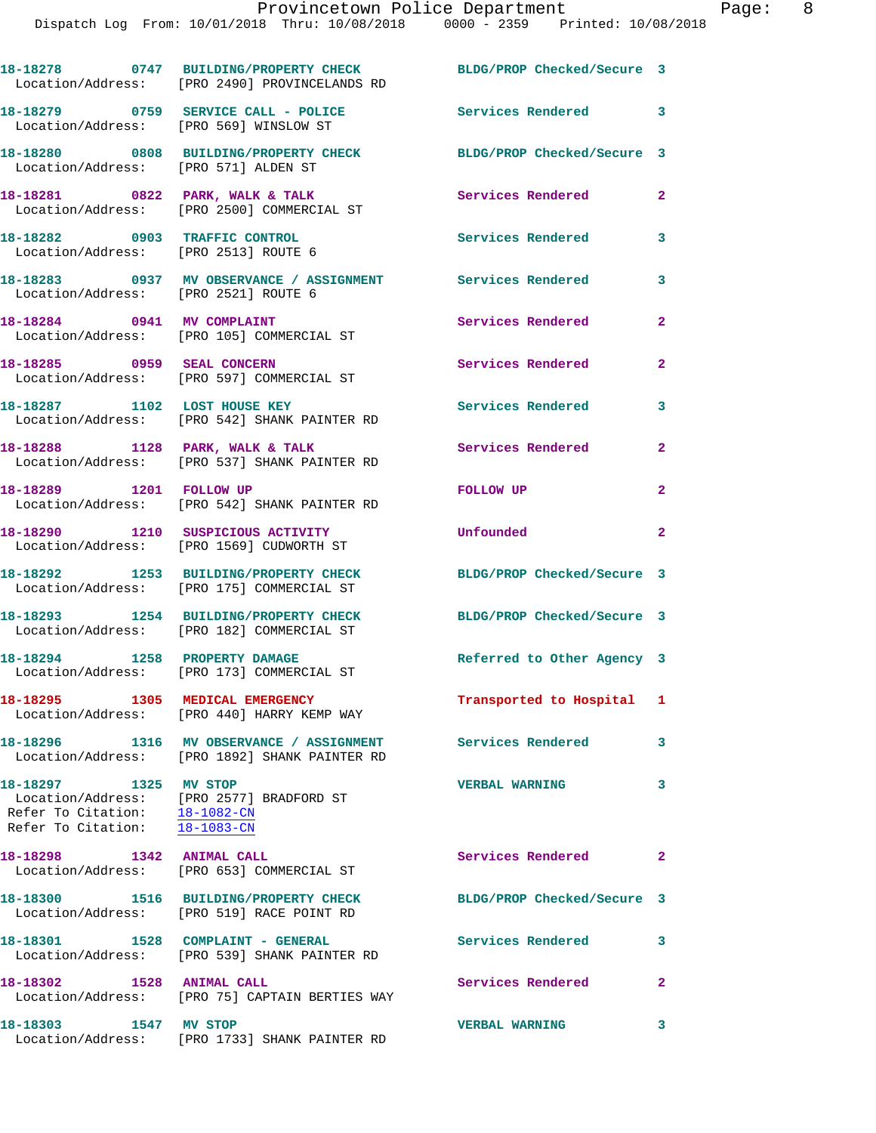|                                                                             | 18-18278 0747 BUILDING/PROPERTY CHECK<br>Location/Address: [PRO 2490] PROVINCELANDS RD    | BLDG/PROP Checked/Secure 3 |                         |
|-----------------------------------------------------------------------------|-------------------------------------------------------------------------------------------|----------------------------|-------------------------|
| Location/Address: [PRO 569] WINSLOW ST                                      | 18-18279 0759 SERVICE CALL - POLICE                                                       | <b>Services Rendered</b>   | 3                       |
| Location/Address: [PRO 571] ALDEN ST                                        | 18-18280 0808 BUILDING/PROPERTY CHECK                                                     | BLDG/PROP Checked/Secure 3 |                         |
|                                                                             | 18-18281 0822 PARK, WALK & TALK<br>Location/Address: [PRO 2500] COMMERCIAL ST             | Services Rendered          | $\mathbf{2}$            |
| 18-18282 0903 TRAFFIC CONTROL<br>Location/Address: [PRO 2513] ROUTE 6       |                                                                                           | <b>Services Rendered</b>   | 3                       |
| Location/Address: [PRO 2521] ROUTE 6                                        | 18-18283 0937 MV OBSERVANCE / ASSIGNMENT Services Rendered                                |                            | 3                       |
|                                                                             | 18-18284 0941 MV COMPLAINT<br>Location/Address: [PRO 105] COMMERCIAL ST                   | <b>Services Rendered</b>   | 2                       |
| 18-18285 0959 SEAL CONCERN                                                  | Location/Address: [PRO 597] COMMERCIAL ST                                                 | Services Rendered          | 2                       |
|                                                                             | 18-18287 1102 LOST HOUSE KEY<br>Location/Address: [PRO 542] SHANK PAINTER RD              | <b>Services Rendered</b>   | 3                       |
|                                                                             | 18-18288 1128 PARK, WALK & TALK<br>Location/Address: [PRO 537] SHANK PAINTER RD           | Services Rendered          | 2                       |
| 18-18289 1201 FOLLOW UP                                                     | Location/Address: [PRO 542] SHANK PAINTER RD                                              | FOLLOW UP                  | $\overline{\mathbf{2}}$ |
|                                                                             | 18-18290 1210 SUSPICIOUS ACTIVITY<br>Location/Address: [PRO 1569] CUDWORTH ST             | Unfounded                  | $\mathbf{2}$            |
|                                                                             | 18-18292 1253 BUILDING/PROPERTY CHECK<br>Location/Address: [PRO 175] COMMERCIAL ST        | BLDG/PROP Checked/Secure 3 |                         |
|                                                                             | 18-18293 1254 BUILDING/PROPERTY CHECK<br>Location/Address: [PRO 182] COMMERCIAL ST        | BLDG/PROP Checked/Secure 3 |                         |
| 18-18294 1258 PROPERTY DAMAGE                                               | Location/Address: [PRO 173] COMMERCIAL ST                                                 | Referred to Other Agency 3 |                         |
|                                                                             | 18-18295 1305 MEDICAL EMERGENCY<br>Location/Address: [PRO 440] HARRY KEMP WAY             | Transported to Hospital 1  |                         |
|                                                                             | 18-18296 1316 MV OBSERVANCE / ASSIGNMENT<br>Location/Address: [PRO 1892] SHANK PAINTER RD | Services Rendered          | 3                       |
| 18-18297 1325 MV STOP<br>Refer To Citation: $\frac{18-1082-CN}{18-1083-CN}$ | Location/Address: [PRO 2577] BRADFORD ST                                                  | <b>VERBAL WARNING</b>      | 3                       |
| 18-18298 1342 ANIMAL CALL                                                   | Location/Address: [PRO 653] COMMERCIAL ST                                                 | Services Rendered          | $\mathbf{2}$            |
|                                                                             | 18-18300 1516 BUILDING/PROPERTY CHECK<br>Location/Address: [PRO 519] RACE POINT RD        | BLDG/PROP Checked/Secure 3 |                         |
|                                                                             | 18-18301 1528 COMPLAINT - GENERAL<br>Location/Address: [PRO 539] SHANK PAINTER RD         | Services Rendered          | 3                       |
|                                                                             | 18-18302 1528 ANIMAL CALL<br>Location/Address: [PRO 75] CAPTAIN BERTIES WAY               | <b>Services Rendered</b>   | 2                       |
| 18-18303 1547 MV STOP                                                       | Location/Address: [PRO 1733] SHANK PAINTER RD                                             | <b>VERBAL WARNING</b>      | 3                       |
|                                                                             |                                                                                           |                            |                         |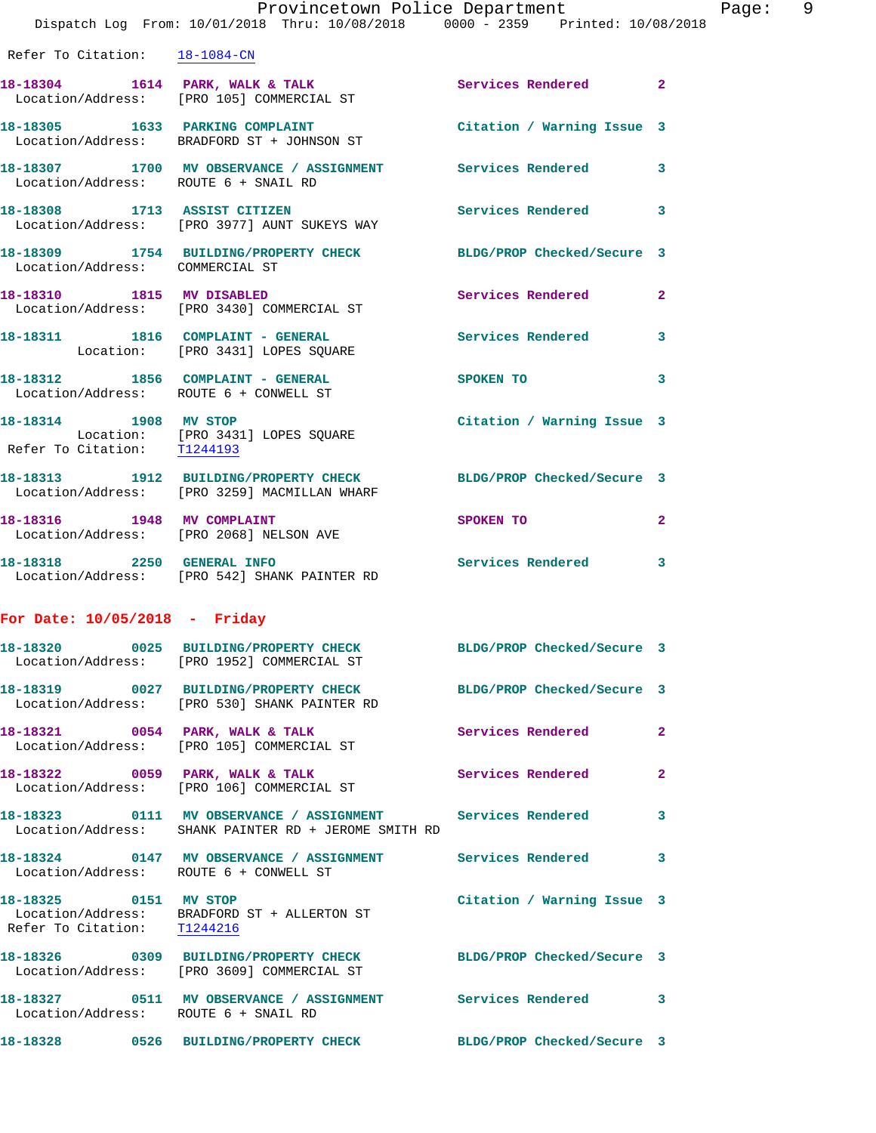|                                                      | Provincetown Police Department<br>Dispatch Log From: 10/01/2018 Thru: 10/08/2018 0000 - 2359 Printed: 10/08/2018   |                            |              |
|------------------------------------------------------|--------------------------------------------------------------------------------------------------------------------|----------------------------|--------------|
| Refer To Citation: 18-1084-CN                        |                                                                                                                    |                            |              |
|                                                      | 18-18304 1614 PARK, WALK & TALK 1998 Services Rendered<br>Location/Address: [PRO 105] COMMERCIAL ST                |                            | $\mathbf{2}$ |
|                                                      | 18-18305 1633 PARKING COMPLAINT<br>Location/Address: BRADFORD ST + JOHNSON ST                                      | Citation / Warning Issue 3 |              |
| Location/Address: ROUTE 6 + SNAIL RD                 | 18-18307 1700 MV OBSERVANCE / ASSIGNMENT Services Rendered                                                         |                            | 3            |
|                                                      | 18-18308 1713 ASSIST CITIZEN<br>Location/Address: [PRO 3977] AUNT SUKEYS WAY                                       | Services Rendered          | 3            |
| Location/Address: COMMERCIAL ST                      | 18-18309 1754 BUILDING/PROPERTY CHECK BLDG/PROP Checked/Secure 3                                                   |                            |              |
|                                                      | 18-18310 1815 MV DISABLED<br>Location/Address: [PRO 3430] COMMERCIAL ST                                            | <b>Services Rendered</b>   | $\mathbf{2}$ |
|                                                      | 18-18311 1816 COMPLAINT - GENERAL<br>Location: [PRO 3431] LOPES SQUARE                                             | Services Rendered          | 3            |
| Location/Address: ROUTE 6 + CONWELL ST               | 18-18312 1856 COMPLAINT - GENERAL SPOKEN TO                                                                        |                            | 3            |
| 18-18314 1908 MV STOP<br>Refer To Citation: T1244193 | Location: [PRO 3431] LOPES SQUARE                                                                                  | Citation / Warning Issue 3 |              |
|                                                      | 18-18313 1912 BUILDING/PROPERTY CHECK BLDG/PROP Checked/Secure 3<br>Location/Address: [PRO 3259] MACMILLAN WHARF   |                            |              |
| 18-18316 1948 MV COMPLAINT                           | Location/Address: [PRO 2068] NELSON AVE                                                                            | SPOKEN TO                  | $\mathbf{2}$ |
|                                                      | 18-18318 2250 GENERAL INFO<br>Location/Address: [PRO 542] SHANK PAINTER RD                                         | <b>Services Rendered</b>   | 3            |
| For Date: $10/05/2018$ - Friday                      |                                                                                                                    |                            |              |
|                                                      | 18-18320 0025 BUILDING/PROPERTY CHECK<br>Location/Address: [PRO 1952] COMMERCIAL ST                                | BLDG/PROP Checked/Secure 3 |              |
|                                                      | 18-18319 0027 BUILDING/PROPERTY CHECK<br>Location/Address: [PRO 530] SHANK PAINTER RD                              | BLDG/PROP Checked/Secure 3 |              |
|                                                      | 18-18321 0054 PARK, WALK & TALK<br>Location/Address: [PRO 105] COMMERCIAL ST                                       | Services Rendered          | $\mathbf{2}$ |
| 18-18322 0059 PARK, WALK & TALK                      | Location/Address: [PRO 106] COMMERCIAL ST                                                                          | Services Rendered          | $\mathbf{2}$ |
|                                                      | 18-18323 0111 MV OBSERVANCE / ASSIGNMENT Services Rendered<br>Location/Address: SHANK PAINTER RD + JEROME SMITH RD |                            | 3            |
| Location/Address: ROUTE 6 + CONWELL ST               | 18-18324  0147 MV OBSERVANCE / ASSIGNMENT Services Rendered                                                        |                            | 3            |
| 18-18325 0151 MV STOP                                | Location/Address: BRADFORD ST + ALLERTON ST                                                                        | Citation / Warning Issue 3 |              |

Refer To Citation: T1244216 **18-18326 0309 BUILDING/PROPERTY CHECK BLDG/PROP Checked/Secure 3**  Location/Address: [PRO 3609] COMMERCIAL ST **18-18327 0511 MV OBSERVANCE / ASSIGNMENT Services Rendered 3**  Location/Address: ROUTE 6 + SNAIL RD

**18-18328 0526 BUILDING/PROPERTY CHECK BLDG/PROP Checked/Secure 3**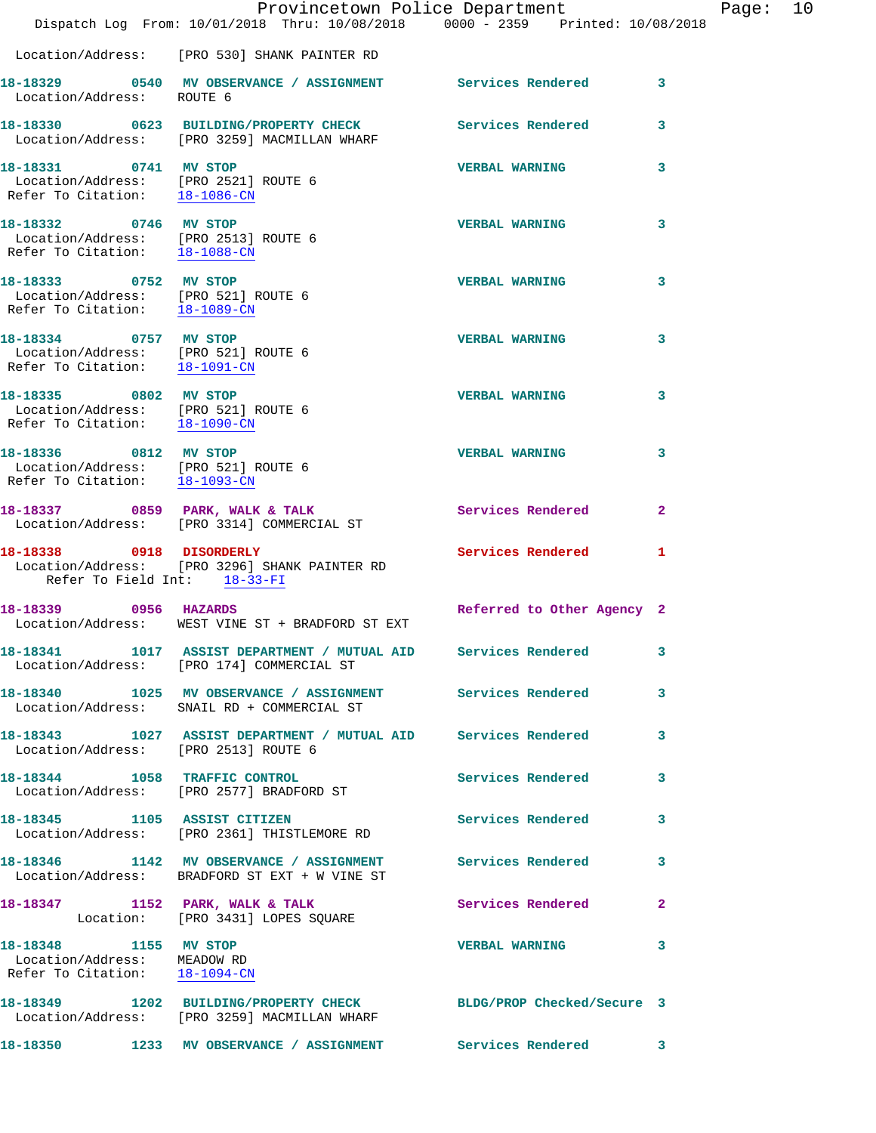|                                                                                               | Provincetown Police Department<br>Dispatch Log From: 10/01/2018 Thru: 10/08/2018 0000 - 2359 Printed: 10/08/2018 |                            |              |
|-----------------------------------------------------------------------------------------------|------------------------------------------------------------------------------------------------------------------|----------------------------|--------------|
|                                                                                               | Location/Address: [PRO 530] SHANK PAINTER RD                                                                     |                            |              |
| Location/Address: ROUTE 6                                                                     | 18-18329 0540 MV OBSERVANCE / ASSIGNMENT Services Rendered                                                       |                            | 3            |
|                                                                                               | 18-18330 0623 BUILDING/PROPERTY CHECK Services Rendered<br>Location/Address: [PRO 3259] MACMILLAN WHARF          |                            | 3            |
| Refer To Citation: 18-1086-CN                                                                 | 18-18331 0741 MV STOP<br>Location/Address: [PRO 2521] ROUTE 6                                                    | <b>VERBAL WARNING</b>      | 3            |
| 18-18332 0746 MV STOP<br>Refer To Citation: 18-1088-CN                                        | Location/Address: [PRO 2513] ROUTE 6                                                                             | <b>VERBAL WARNING</b>      | 3            |
| 18-18333 0752 MV STOP                                                                         | Location/Address: [PRO 521] ROUTE 6<br>Refer To Citation: 18-1089-CN                                             | <b>VERBAL WARNING</b>      | 3            |
| 18-18334 0757 MV STOP<br>Location/Address: [PRO 521] ROUTE 6<br>Refer To Citation: 18-1091-CN |                                                                                                                  | <b>VERBAL WARNING</b>      | 3            |
| 18-18335 0802 MV STOP<br>Location/Address: [PRO 521] ROUTE 6<br>Refer To Citation: 18-1090-CN |                                                                                                                  | <b>VERBAL WARNING</b>      | 3            |
| 18-18336 0812 MV STOP                                                                         | Location/Address: [PRO 521] ROUTE 6<br>Refer To Citation: 18-1093-CN                                             | <b>VERBAL WARNING</b>      | 3            |
|                                                                                               | 18-18337 0859 PARK, WALK & TALK<br>Location/Address: [PRO 3314] COMMERCIAL ST                                    | Services Rendered          | $\mathbf{2}$ |
| 18-18338 0918 DISORDERLY<br>Refer To Field Int: 18-33-FI                                      | Location/Address: [PRO 3296] SHANK PAINTER RD                                                                    | Services Rendered          | 1            |
| 18-18339 0956 HAZARDS                                                                         | Location/Address: WEST VINE ST + BRADFORD ST EXT                                                                 | Referred to Other Agency 2 |              |
|                                                                                               | 18-18341 1017 ASSIST DEPARTMENT / MUTUAL AID Services Rendered<br>Location/Address: [PRO 174] COMMERCIAL ST      |                            | 3            |
|                                                                                               | 18-18340 1025 MV OBSERVANCE / ASSIGNMENT Services Rendered<br>Location/Address: SNAIL RD + COMMERCIAL ST         |                            | 3            |
|                                                                                               | 18-18343 1027 ASSIST DEPARTMENT / MUTUAL AID Services Rendered<br>Location/Address: [PRO 2513] ROUTE 6           |                            | 3            |
|                                                                                               | 18-18344 1058 TRAFFIC CONTROL<br>Location/Address: [PRO 2577] BRADFORD ST                                        | <b>Services Rendered</b>   | 3            |
| 18-18345 1105 ASSIST CITIZEN                                                                  | Location/Address: [PRO 2361] THISTLEMORE RD                                                                      | <b>Services Rendered</b>   | 3            |
|                                                                                               | 18-18346 1142 MV OBSERVANCE / ASSIGNMENT Services Rendered<br>Location/Address: BRADFORD ST EXT + W VINE ST      |                            | 3            |
|                                                                                               | 18-18347 1152 PARK, WALK & TALK<br>Location: [PRO 3431] LOPES SQUARE                                             | Services Rendered          | 2            |
| 18-18348 1155 MV STOP<br>Location/Address: MEADOW RD<br>Refer To Citation: 18-1094-CN         |                                                                                                                  | <b>VERBAL WARNING</b>      | 3            |
|                                                                                               | 18-18349 1202 BUILDING/PROPERTY CHECK BLDG/PROP Checked/Secure 3<br>Location/Address: [PRO 3259] MACMILLAN WHARF |                            |              |
|                                                                                               | 18-18350 1233 MV OBSERVANCE / ASSIGNMENT Services Rendered                                                       |                            | 3            |

Page:  $10$ <br> $18$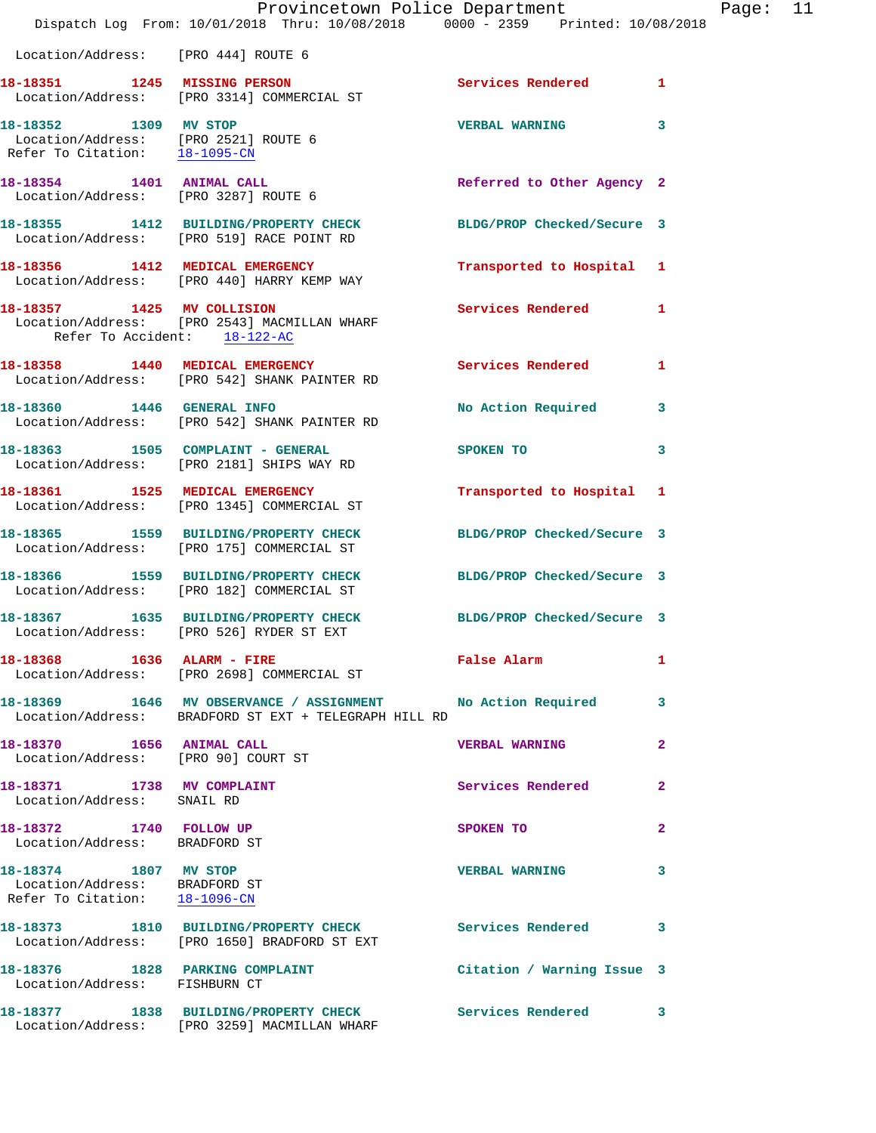|                                                                                                | Dispatch Log From: 10/01/2018 Thru: 10/08/2018 0000 - 2359 Printed: 10/08/2018                                       | Provincetown Police Department | $\mathbf{P}$            |
|------------------------------------------------------------------------------------------------|----------------------------------------------------------------------------------------------------------------------|--------------------------------|-------------------------|
| Location/Address: [PRO 444] ROUTE 6                                                            |                                                                                                                      |                                |                         |
|                                                                                                | 18-18351 1245 MISSING PERSON<br>Location/Address: [PRO 3314] COMMERCIAL ST                                           | Services Rendered              | $\mathbf{1}$            |
| 18-18352 1309 MV STOP<br>Location/Address: [PRO 2521] ROUTE 6<br>Refer To Citation: 18-1095-CN |                                                                                                                      | <b>VERBAL WARNING</b>          | 3                       |
| 18-18354 1401 ANIMAL CALL<br>Location/Address: [PRO 3287] ROUTE 6                              |                                                                                                                      | Referred to Other Agency 2     |                         |
|                                                                                                | 18-18355 1412 BUILDING/PROPERTY CHECK<br>Location/Address: [PRO 519] RACE POINT RD                                   | BLDG/PROP Checked/Secure 3     |                         |
|                                                                                                | 18-18356 1412 MEDICAL EMERGENCY<br>Location/Address: [PRO 440] HARRY KEMP WAY                                        | Transported to Hospital        | 1                       |
| Refer To Accident: 18-122-AC                                                                   | 18-18357 1425 MV COLLISION<br>Location/Address: [PRO 2543] MACMILLAN WHARF                                           | <b>Services Rendered</b>       | 1                       |
|                                                                                                | 18-18358 1440 MEDICAL EMERGENCY<br>Location/Address: [PRO 542] SHANK PAINTER RD                                      | <b>Services Rendered</b>       | 1                       |
| 18-18360 1446 GENERAL INFO                                                                     | Location/Address: [PRO 542] SHANK PAINTER RD                                                                         | No Action Required             | 3                       |
|                                                                                                | 18-18363 1505 COMPLAINT - GENERAL<br>Location/Address: [PRO 2181] SHIPS WAY RD                                       | SPOKEN TO                      | 3                       |
|                                                                                                | 18-18361 1525 MEDICAL EMERGENCY<br>Location/Address: [PRO 1345] COMMERCIAL ST                                        | Transported to Hospital        | 1                       |
|                                                                                                | 18-18365 1559 BUILDING/PROPERTY CHECK<br>Location/Address: [PRO 175] COMMERCIAL ST                                   | BLDG/PROP Checked/Secure 3     |                         |
|                                                                                                | 18-18366 1559 BUILDING/PROPERTY CHECK BLDG/PROP Checked/Secure 3<br>Location/Address: [PRO 182] COMMERCIAL ST        |                                |                         |
|                                                                                                | 18-18367 1635 BUILDING/PROPERTY CHECK<br>Location/Address: [PRO 526] RYDER ST EXT                                    | BLDG/PROP Checked/Secure 3     |                         |
|                                                                                                | 18-18368 1636 ALARM - FIRE<br>Location/Address: [PRO 2698] COMMERCIAL ST                                             | False Alarm                    | 1                       |
|                                                                                                | 18-18369 1646 MV OBSERVANCE / ASSIGNMENT No Action Required<br>Location/Address: BRADFORD ST EXT + TELEGRAPH HILL RD |                                | 3                       |
| 18-18370 1656 ANIMAL CALL<br>Location/Address: [PRO 90] COURT ST                               |                                                                                                                      | <b>VERBAL WARNING</b>          | $\overline{\mathbf{2}}$ |
| 18-18371 1738 MV COMPLAINT<br>Location/Address: SNAIL RD                                       |                                                                                                                      | Services Rendered              | 2                       |
| 18-18372 1740 FOLLOW UP<br>Location/Address: BRADFORD ST                                       |                                                                                                                      | SPOKEN TO                      | $\overline{a}$          |
| 18-18374 1807 MV STOP<br>Location/Address: BRADFORD ST<br>Refer To Citation: 18-1096-CN        |                                                                                                                      | <b>VERBAL WARNING</b>          | 3                       |
|                                                                                                | 18-18373 1810 BUILDING/PROPERTY CHECK Services Rendered<br>Location/Address: [PRO 1650] BRADFORD ST EXT              |                                | 3                       |
| 18-18376 1828 PARKING COMPLAINT<br>Location/Address: FISHBURN CT                               |                                                                                                                      | Citation / Warning Issue 3     |                         |
|                                                                                                | 18-18377 1838 BUILDING/PROPERTY CHECK<br>Location/Address: [PRO 3259] MACMILLAN WHARF                                | <b>Services Rendered</b>       | 3                       |

age: 11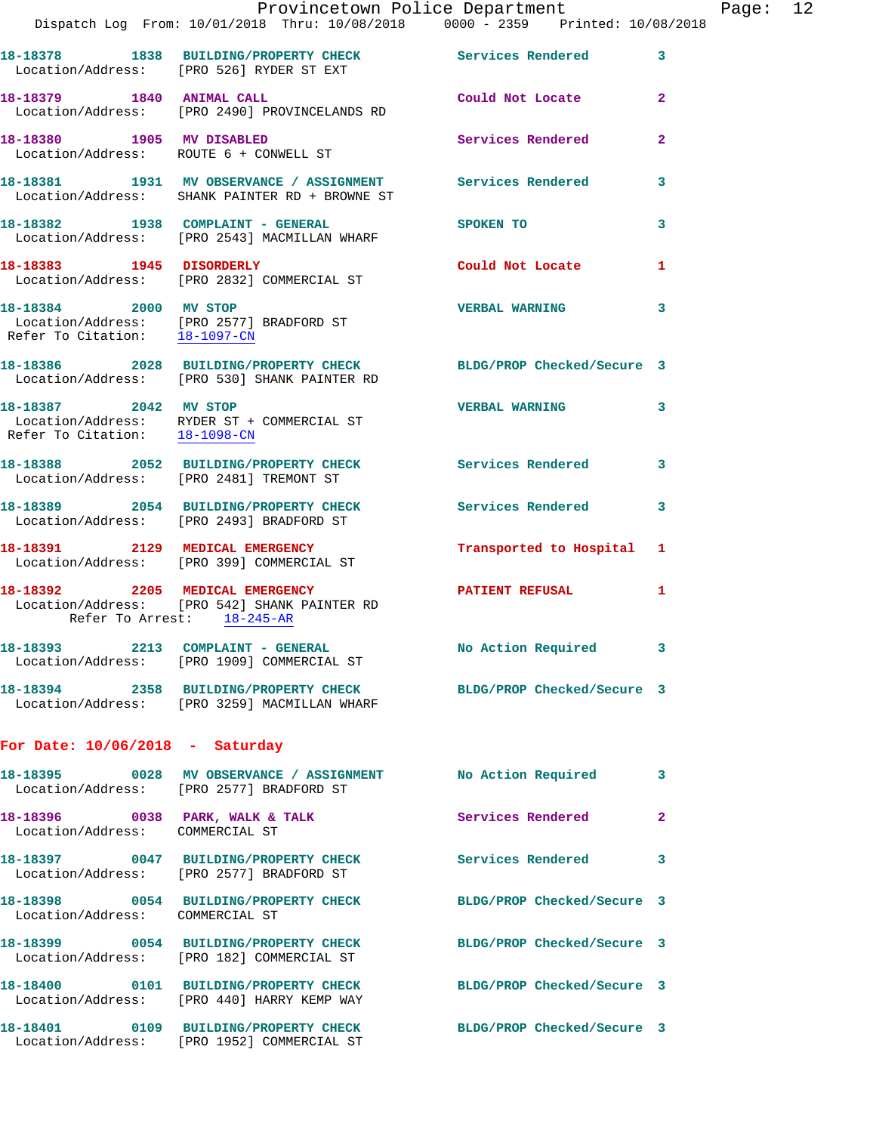|                                                        | Provincetown Police Department<br>Dispatch Log From: 10/01/2018 Thru: 10/08/2018 0000 - 2359 Printed: 10/08/2018 |                            |                |
|--------------------------------------------------------|------------------------------------------------------------------------------------------------------------------|----------------------------|----------------|
|                                                        |                                                                                                                  |                            | 3              |
|                                                        | 18-18378 1838 BUILDING/PROPERTY CHECK Services Rendered<br>Location/Address: [PRO 526] RYDER ST EXT              |                            |                |
| 18-18379 1840 ANIMAL CALL                              | Location/Address: [PRO 2490] PROVINCELANDS RD                                                                    | Could Not Locate           | $\mathbf{2}$   |
|                                                        | 18-18380 1905 MV DISABLED<br>Location/Address: ROUTE 6 + CONWELL ST                                              | Services Rendered          | $\overline{a}$ |
|                                                        | 18-18381 1931 MV OBSERVANCE / ASSIGNMENT Services Rendered<br>Location/Address: SHANK PAINTER RD + BROWNE ST     |                            | 3              |
|                                                        | 18-18382 1938 COMPLAINT - GENERAL<br>Location/Address: [PRO 2543] MACMILLAN WHARF                                | SPOKEN TO                  | 3              |
|                                                        | 18-18383 1945 DISORDERLY<br>Location/Address: [PRO 2832] COMMERCIAL ST                                           | Could Not Locate           | 1              |
| 18-18384 2000 MV STOP                                  | Location/Address: [PRO 2577] BRADFORD ST<br>Refer To Citation: 18-1097-CN                                        | <b>VERBAL WARNING</b>      | 3              |
|                                                        | 18-18386 2028 BUILDING/PROPERTY CHECK BLDG/PROP Checked/Secure 3<br>Location/Address: [PRO 530] SHANK PAINTER RD |                            |                |
| 18-18387 2042 MV STOP<br>Refer To Citation: 18-1098-CN | Location/Address: RYDER ST + COMMERCIAL ST                                                                       | <b>VERBAL WARNING</b>      | 3              |
|                                                        | 18-18388 2052 BUILDING/PROPERTY CHECK<br>Location/Address: [PRO 2481] TREMONT ST                                 | Services Rendered          | 3              |
|                                                        | 18-18389 2054 BUILDING/PROPERTY CHECK<br>Location/Address: [PRO 2493] BRADFORD ST                                | Services Rendered          | 3              |
|                                                        | 18-18391 2129 MEDICAL EMERGENCY<br>Location/Address: [PRO 399] COMMERCIAL ST                                     | Transported to Hospital    | 1              |
|                                                        | 18-18392 2205 MEDICAL EMERGENCY<br>Location/Address: [PRO 542] SHANK PAINTER RD<br>Refer To Arrest: 18-245-AR    | <b>PATIENT REFUSAL</b>     | 1              |
|                                                        | 18-18393 2213 COMPLAINT - GENERAL<br>Location/Address: [PRO 1909] COMMERCIAL ST                                  | No Action Required 3       |                |
|                                                        | 18-18394 2358 BUILDING/PROPERTY CHECK BLDG/PROP Checked/Secure 3<br>Location/Address: [PRO 3259] MACMILLAN WHARF |                            |                |
| For Date: $10/06/2018$ - Saturday                      |                                                                                                                  |                            |                |
|                                                        | 18-18395 0028 MV OBSERVANCE / ASSIGNMENT<br>Location/Address: [PRO 2577] BRADFORD ST                             | No Action Required         | 3              |
| Location/Address: COMMERCIAL ST                        | 18-18396 0038 PARK, WALK & TALK                                                                                  | Services Rendered          | 2              |
|                                                        | 18-18397 0047 BUILDING/PROPERTY CHECK<br>Location/Address: [PRO 2577] BRADFORD ST                                | <b>Services Rendered</b>   | 3              |
| Location/Address: COMMERCIAL ST                        | 18-18398 0054 BUILDING/PROPERTY CHECK                                                                            | BLDG/PROP Checked/Secure 3 |                |
|                                                        | 18-18399 0054 BUILDING/PROPERTY CHECK<br>Location/Address: [PRO 182] COMMERCIAL ST                               | BLDG/PROP Checked/Secure 3 |                |
|                                                        | 18-18400 0101 BUILDING/PROPERTY CHECK<br>Location/Address: [PRO 440] HARRY KEMP WAY                              | BLDG/PROP Checked/Secure 3 |                |
|                                                        | 18-18401 0109 BUILDING/PROPERTY CHECK                                                                            | BLDG/PROP Checked/Secure 3 |                |

Location/Address: [PRO 1952] COMMERCIAL ST

Page:  $12$ <br>018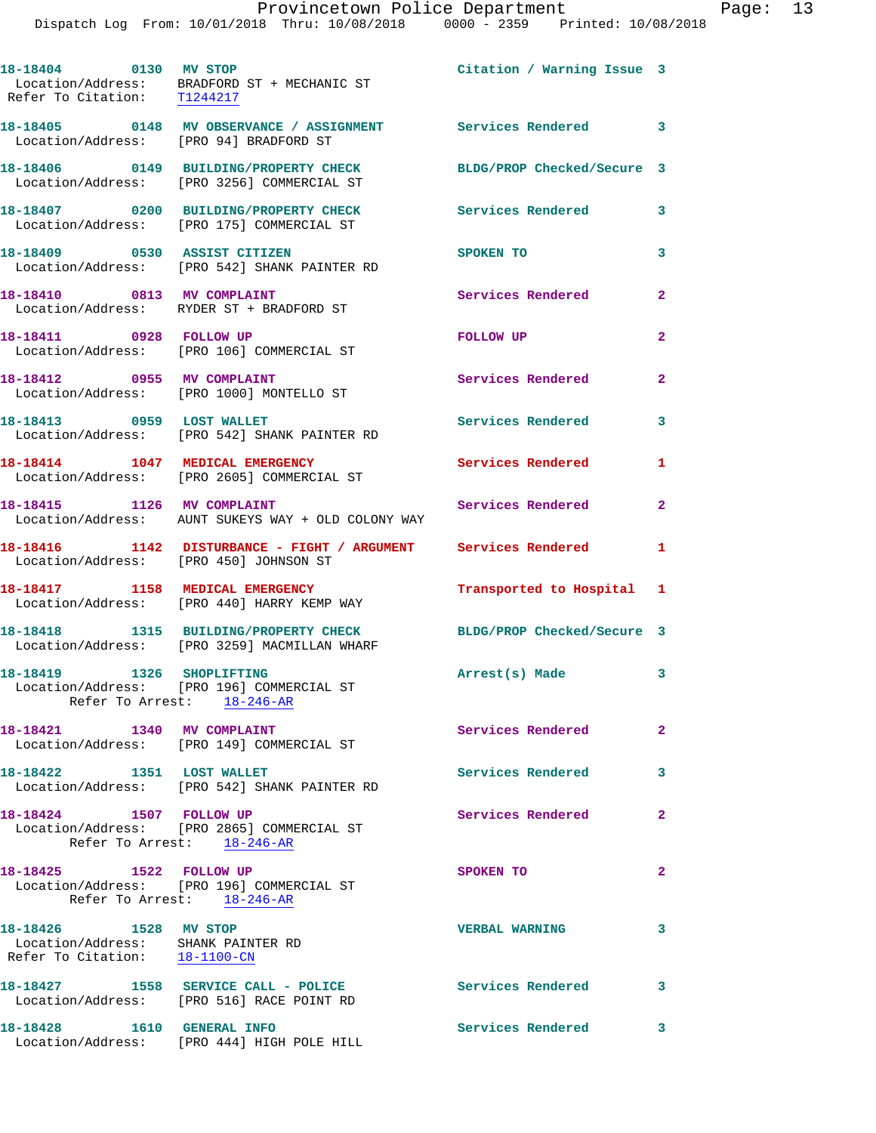|                                                                                              | Dispatch Log From: 10/01/2018 Thru: 10/08/2018 0000 - 2359 Printed: 10/08/2018                                   | Provincetown Police Department |                | Page: 13 |  |
|----------------------------------------------------------------------------------------------|------------------------------------------------------------------------------------------------------------------|--------------------------------|----------------|----------|--|
| 18-18404 0130 MV STOP<br>Refer To Citation: T1244217                                         | Location/Address: BRADFORD ST + MECHANIC ST                                                                      | Citation / Warning Issue 3     |                |          |  |
| Location/Address: [PRO 94] BRADFORD ST                                                       | 18-18405 0148 MV OBSERVANCE / ASSIGNMENT Services Rendered                                                       |                                | $\mathbf{3}$   |          |  |
|                                                                                              | 18-18406 0149 BUILDING/PROPERTY CHECK BLDG/PROP Checked/Secure 3<br>Location/Address: [PRO 3256] COMMERCIAL ST   |                                |                |          |  |
|                                                                                              | 18-18407 0200 BUILDING/PROPERTY CHECK Services Rendered<br>Location/Address: [PRO 175] COMMERCIAL ST             |                                | 3              |          |  |
|                                                                                              | 18-18409 0530 ASSIST CITIZEN<br>Location/Address: [PRO 542] SHANK PAINTER RD                                     | SPOKEN TO                      | 3              |          |  |
|                                                                                              | 18-18410 0813 MV COMPLAINT<br>Location/Address: RYDER ST + BRADFORD ST                                           | Services Rendered              | $\mathbf{2}$   |          |  |
| 18-18411 0928 FOLLOW UP                                                                      | Location/Address: [PRO 106] COMMERCIAL ST                                                                        | FOLLOW UP                      | $\overline{a}$ |          |  |
|                                                                                              | 18-18412 0955 MV COMPLAINT<br>Location/Address: [PRO 1000] MONTELLO ST                                           | Services Rendered              | $\mathbf{2}$   |          |  |
| 18-18413 0959 LOST WALLET                                                                    | Location/Address: [PRO 542] SHANK PAINTER RD                                                                     | Services Rendered              | 3              |          |  |
|                                                                                              | 18-18414 1047 MEDICAL EMERGENCY<br>Location/Address: [PRO 2605] COMMERCIAL ST                                    | Services Rendered              | 1              |          |  |
| 18-18415 1126 MV COMPLAINT                                                                   | Location/Address: AUNT SUKEYS WAY + OLD COLONY WAY                                                               | Services Rendered              | $\mathbf{2}$   |          |  |
| Location/Address: [PRO 450] JOHNSON ST                                                       | 18-18416 1142 DISTURBANCE - FIGHT / ARGUMENT Services Rendered 1                                                 |                                |                |          |  |
|                                                                                              | 18-18417 1158 MEDICAL EMERGENCY<br>Location/Address: [PRO 440] HARRY KEMP WAY                                    | Transported to Hospital 1      |                |          |  |
|                                                                                              | 18-18418 1315 BUILDING/PROPERTY CHECK BLDG/PROP Checked/Secure 3<br>Location/Address: [PRO 3259] MACMILLAN WHARF |                                |                |          |  |
| 18-18419    1326    SHOPLIFTING                                                              | Location/Address: [PRO 196] COMMERCIAL ST<br>Refer To Arrest: 18-246-AR                                          | Arrest(s) Made                 | 3              |          |  |
|                                                                                              | 18-18421 1340 MV COMPLAINT<br>Location/Address: [PRO 149] COMMERCIAL ST                                          | <b>Services Rendered</b>       | $\mathbf{2}$   |          |  |
| 18-18422 1351 LOST WALLET                                                                    | Location/Address: [PRO 542] SHANK PAINTER RD                                                                     | Services Rendered              | 3              |          |  |
| 18-18424 1507 FOLLOW UP                                                                      | Location/Address: [PRO 2865] COMMERCIAL ST<br>Refer To Arrest: 18-246-AR                                         | Services Rendered              | $\mathbf{2}$   |          |  |
| Refer To Arrest: 18-246-AR                                                                   | 18-18425   1522   FOLLOW UP<br>Location/Address: [PRO 196] COMMERCIAL ST                                         | SPOKEN TO                      | 2              |          |  |
| 18-18426 1528 MV STOP<br>Location/Address: SHANK PAINTER RD<br>Refer To Citation: 18-1100-CN |                                                                                                                  | <b>VERBAL WARNING</b>          | 3              |          |  |
|                                                                                              | 18-18427 1558 SERVICE CALL - POLICE<br>Location/Address: [PRO 516] RACE POINT RD                                 | Services Rendered              | $\mathbf{3}$   |          |  |
|                                                                                              | 18-18428    1610    GENERAL INFO<br>Location/Address: [PRO 444] HIGH POLE HILL                                   | <b>Services Rendered</b>       | 3              |          |  |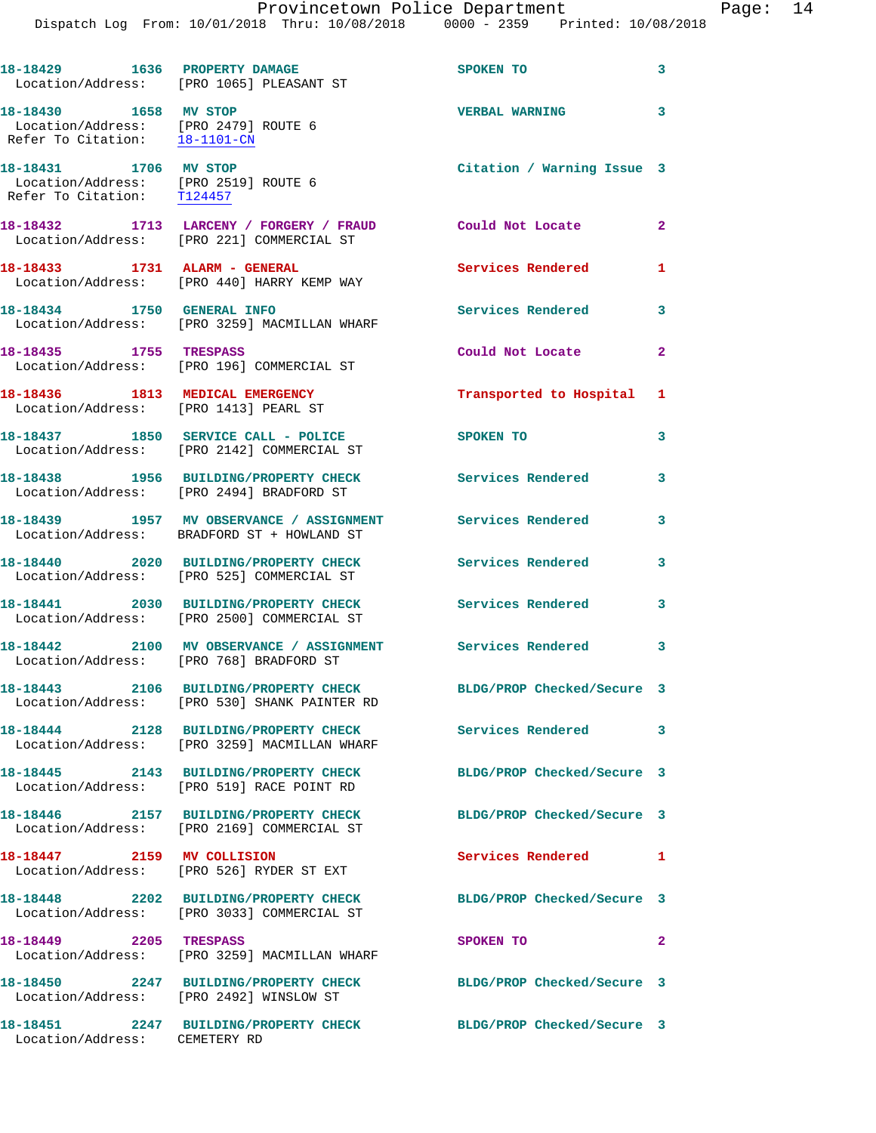|                                                                                                | 18-18429 1636 PROPERTY DAMAGE<br>Location/Address: [PRO 1065] PLEASANT ST                               | SPOKEN TO                  | 3                        |
|------------------------------------------------------------------------------------------------|---------------------------------------------------------------------------------------------------------|----------------------------|--------------------------|
| 18-18430 1658 MV STOP<br>Location/Address: [PRO 2479] ROUTE 6<br>Refer To Citation: 18-1101-CN |                                                                                                         | <b>VERBAL WARNING</b>      | $\overline{\phantom{a}}$ |
| 18-18431 1706 MV STOP<br>Location/Address: [PRO 2519] ROUTE 6<br>Refer To Citation: T124457    |                                                                                                         | Citation / Warning Issue 3 |                          |
|                                                                                                | 18-18432 1713 LARCENY / FORGERY / FRAUD Could Not Locate 2<br>Location/Address: [PRO 221] COMMERCIAL ST |                            |                          |
|                                                                                                | 18-18433 1731 ALARM - GENERAL<br>Location/Address: [PRO 440] HARRY KEMP WAY                             | Services Rendered          | $\mathbf{1}$             |
| 18-18434 1750 GENERAL INFO                                                                     | Location/Address: [PRO 3259] MACMILLAN WHARF                                                            | Services Rendered          | 3                        |
| 18-18435 1755 TRESPASS                                                                         | Location/Address: [PRO 196] COMMERCIAL ST                                                               | Could Not Locate           | $\mathbf{2}$             |
| 18-18436 1813 MEDICAL EMERGENCY                                                                | Location/Address: [PRO 1413] PEARL ST                                                                   | Transported to Hospital 1  |                          |
|                                                                                                | 18-18437 1850 SERVICE CALL - POLICE<br>Location/Address: [PRO 2142] COMMERCIAL ST                       | <b>SPOKEN TO</b>           | 3                        |
|                                                                                                | 18-18438 1956 BUILDING/PROPERTY CHECK<br>Location/Address: [PRO 2494] BRADFORD ST                       | <b>Services Rendered</b>   | 3                        |
|                                                                                                | 18-18439 1957 MV OBSERVANCE / ASSIGNMENT<br>Location/Address: BRADFORD ST + HOWLAND ST                  | Services Rendered          | 3                        |
|                                                                                                | 18-18440 2020 BUILDING/PROPERTY CHECK<br>Location/Address: [PRO 525] COMMERCIAL ST                      | Services Rendered          | 3                        |
|                                                                                                | 18-18441 2030 BUILDING/PROPERTY CHECK<br>Location/Address: [PRO 2500] COMMERCIAL ST                     | Services Rendered 3        |                          |
|                                                                                                | 18-18442 2100 MV OBSERVANCE / ASSIGNMENT Services Rendered 3<br>Location/Address: [PRO 768] BRADFORD ST |                            |                          |
|                                                                                                | 18-18443 2106 BUILDING/PROPERTY CHECK<br>Location/Address: [PRO 530] SHANK PAINTER RD                   | BLDG/PROP Checked/Secure 3 |                          |
|                                                                                                | 18-18444 2128 BUILDING/PROPERTY CHECK<br>Location/Address: [PRO 3259] MACMILLAN WHARF                   | Services Rendered          | 3                        |
|                                                                                                | 18-18445 2143 BUILDING/PROPERTY CHECK<br>Location/Address: [PRO 519] RACE POINT RD                      | BLDG/PROP Checked/Secure 3 |                          |
|                                                                                                | 18-18446 2157 BUILDING/PROPERTY CHECK<br>Location/Address: [PRO 2169] COMMERCIAL ST                     | BLDG/PROP Checked/Secure 3 |                          |
| 18-18447 2159 MV COLLISION                                                                     | Location/Address: [PRO 526] RYDER ST EXT                                                                | Services Rendered          | $\mathbf{1}$             |
|                                                                                                | 18-18448 2202 BUILDING/PROPERTY CHECK<br>Location/Address: [PRO 3033] COMMERCIAL ST                     | BLDG/PROP Checked/Secure 3 |                          |
| 18-18449 2205 TRESPASS                                                                         | Location/Address: [PRO 3259] MACMILLAN WHARF                                                            | SPOKEN TO                  | $\mathbf{2}$             |
|                                                                                                | 18-18450 2247 BUILDING/PROPERTY CHECK<br>Location/Address: [PRO 2492] WINSLOW ST                        | BLDG/PROP Checked/Secure 3 |                          |
| 18-18451<br>Location/Address: CEMETERY RD                                                      | 2247 BUILDING/PROPERTY CHECK BLDG/PROP Checked/Secure 3                                                 |                            |                          |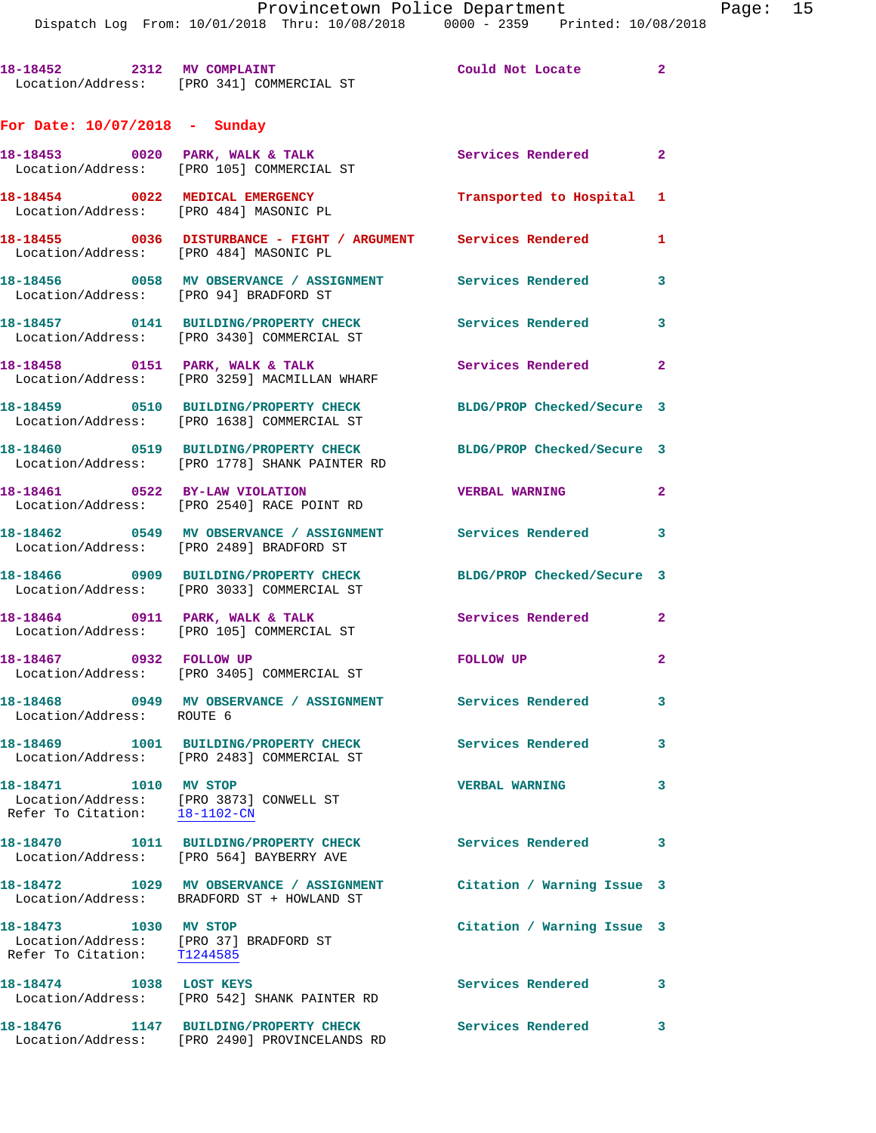**18-18452 2312 MV COMPLAINT Could Not Locate 2**  Location/Address: [PRO 341] COMMERCIAL ST

## **For Date: 10/07/2018 - Sunday**

|                                                         | 18-18453 0020 PARK, WALK & TALK<br>Location/Address: [PRO 105] COMMERCIAL ST                                   | Services Rendered          | $\overline{\mathbf{2}}$ |
|---------------------------------------------------------|----------------------------------------------------------------------------------------------------------------|----------------------------|-------------------------|
|                                                         | 18-18454 0022 MEDICAL EMERGENCY<br>Location/Address: [PRO 484] MASONIC PL                                      | Transported to Hospital 1  |                         |
|                                                         | 18-18455 0036 DISTURBANCE - FIGHT / ARGUMENT Services Rendered<br>Location/Address: [PRO 484] MASONIC PL       |                            | $\mathbf{1}$            |
|                                                         | 18-18456  0058 MV OBSERVANCE / ASSIGNMENT Services Rendered<br>Location/Address: [PRO 94] BRADFORD ST          |                            | $\overline{\mathbf{3}}$ |
|                                                         | 18-18457 0141 BUILDING/PROPERTY CHECK<br>Location/Address: [PRO 3430] COMMERCIAL ST                            | <b>Services Rendered</b>   | $\overline{\mathbf{3}}$ |
|                                                         | 18-18458 0151 PARK, WALK & TALK<br>Location/Address: [PRO 3259] MACMILLAN WHARF                                | Services Rendered 2        |                         |
|                                                         | 18-18459 0510 BUILDING/PROPERTY CHECK BLDG/PROP Checked/Secure 3<br>Location/Address: [PRO 1638] COMMERCIAL ST |                            |                         |
|                                                         | 18-18460 0519 BUILDING/PROPERTY CHECK<br>Location/Address: [PRO 1778] SHANK PAINTER RD                         | BLDG/PROP Checked/Secure 3 |                         |
|                                                         | 18-18461 0522 BY-LAW VIOLATION<br>Location/Address: [PRO 2540] RACE POINT RD                                   | <b>VERBAL WARNING</b>      | $\mathbf{2}$            |
|                                                         | 18-18462  0549 MV OBSERVANCE / ASSIGNMENT Services Rendered 3<br>Location/Address: [PRO 2489] BRADFORD ST      |                            |                         |
|                                                         | 18-18466 0909 BUILDING/PROPERTY CHECK<br>Location/Address: [PRO 3033] COMMERCIAL ST                            | BLDG/PROP Checked/Secure 3 |                         |
|                                                         | $18-18464$ 0911 PARK, WALK & TALK<br>Location/Address: [PRO 105] COMMERCIAL ST                                 | Services Rendered          | $\mathbf{2}$            |
|                                                         | 18-18467 0932 FOLLOW UP<br>Location/Address: [PRO 3405] COMMERCIAL ST                                          | FOLLOW UP                  | $\mathbf{2}$            |
| Location/Address: ROUTE 6                               | 18-18468 0949 MV OBSERVANCE / ASSIGNMENT                                                                       | Services Rendered          | $\mathbf{3}$            |
|                                                         | 18-18469 1001 BUILDING/PROPERTY CHECK Services Rendered 3<br>Location/Address: [PRO 2483] COMMERCIAL ST        |                            |                         |
|                                                         | Location/Address: [PRO 3873] CONWELL ST<br>Refer To Citation: 18-1102-CN                                       | <b>VERBAL WARNING</b>      | 3                       |
|                                                         | 18-18470    1011 BUILDING/PROPERTY CHECK<br>Location/Address: [PRO 564] BAYBERRY AVE                           | Services Rendered          | 3                       |
|                                                         | 18-18472 1029 MV OBSERVANCE / ASSIGNMENT<br>Location/Address: BRADFORD ST + HOWLAND ST                         | Citation / Warning Issue 3 |                         |
| 18-18473    1030 MV STOP<br>Refer To Citation: T1244585 | Location/Address: [PRO 37] BRADFORD ST                                                                         | Citation / Warning Issue 3 |                         |
| 18-18474 1038 LOST KEYS                                 | Location/Address: [PRO 542] SHANK PAINTER RD                                                                   | Services Rendered          | 3                       |
| 18-18476                                                | 1147 BUILDING/PROPERTY CHECK<br>Location/Address: [PRO 2490] PROVINCELANDS RD                                  | Services Rendered          | 3                       |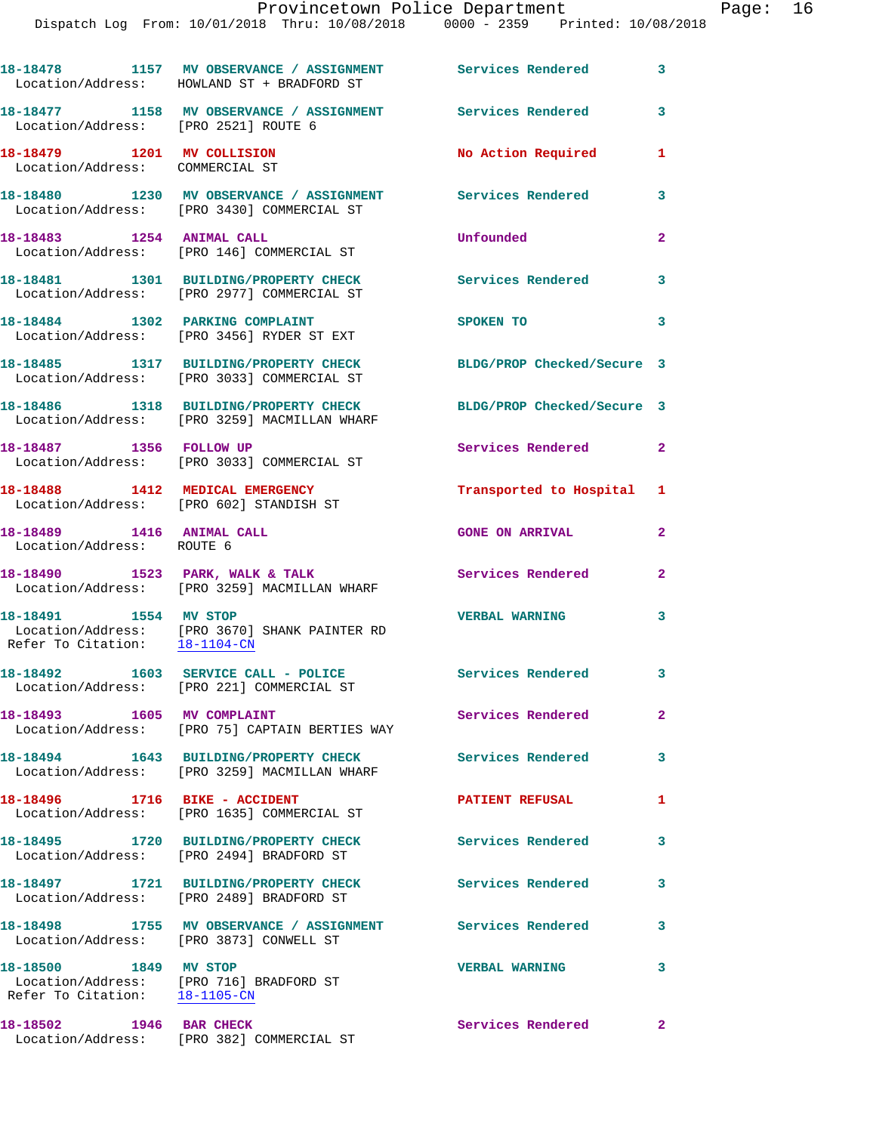|                                                               | 18-18478 1157 MV OBSERVANCE / ASSIGNMENT Services Rendered 3<br>Location/Address: HOWLAND ST + BRADFORD ST |                            |              |
|---------------------------------------------------------------|------------------------------------------------------------------------------------------------------------|----------------------------|--------------|
| Location/Address: [PRO 2521] ROUTE 6                          | 18-18477 1158 MV OBSERVANCE / ASSIGNMENT                                                                   | Services Rendered          | 3            |
| 18-18479 1201 MV COLLISION<br>Location/Address: COMMERCIAL ST |                                                                                                            | No Action Required         | 1            |
|                                                               | 18-18480 1230 MV OBSERVANCE / ASSIGNMENT<br>Location/Address: [PRO 3430] COMMERCIAL ST                     | Services Rendered          | 3            |
| 18-18483 1254 ANIMAL CALL                                     | Location/Address: [PRO 146] COMMERCIAL ST                                                                  | Unfounded                  | $\mathbf{2}$ |
|                                                               | 18-18481 1301 BUILDING/PROPERTY CHECK<br>Location/Address: [PRO 2977] COMMERCIAL ST                        | Services Rendered          | 3            |
| 18-18484 1302 PARKING COMPLAINT                               | Location/Address: [PRO 3456] RYDER ST EXT                                                                  | SPOKEN TO                  | 3            |
|                                                               | 18-18485 1317 BUILDING/PROPERTY CHECK<br>Location/Address: [PRO 3033] COMMERCIAL ST                        | BLDG/PROP Checked/Secure 3 |              |
|                                                               | 18-18486 1318 BUILDING/PROPERTY CHECK<br>Location/Address: [PRO 3259] MACMILLAN WHARF                      | BLDG/PROP Checked/Secure 3 |              |
| 18-18487 1356 FOLLOW UP                                       | Location/Address: [PRO 3033] COMMERCIAL ST                                                                 | Services Rendered 2        |              |
|                                                               | 18-18488 1412 MEDICAL EMERGENCY<br>Location/Address: [PRO 602] STANDISH ST                                 | Transported to Hospital 1  |              |
| 18-18489 1416 ANIMAL CALL<br>Location/Address: ROUTE 6        |                                                                                                            | <b>GONE ON ARRIVAL</b>     | $\mathbf{2}$ |
|                                                               | 18-18490 1523 PARK, WALK & TALK<br>Location/Address: [PRO 3259] MACMILLAN WHARF                            | Services Rendered          | $\mathbf{2}$ |
| 18-18491 1554 MV STOP<br>Refer To Citation: 18-1104-CN        | Location/Address: [PRO 3670] SHANK PAINTER RD                                                              | <b>VERBAL WARNING</b>      | 3            |
|                                                               | 18-18492 1603 SERVICE CALL - POLICE<br>Location/Address: [PRO 221] COMMERCIAL ST                           | <b>Services Rendered</b> 3 |              |
| 18-18493 1605 MV COMPLAINT                                    | Location/Address: [PRO 75] CAPTAIN BERTIES WAY                                                             | Services Rendered          | $\mathbf{2}$ |
|                                                               | 18-18494 1643 BUILDING/PROPERTY CHECK<br>Location/Address: [PRO 3259] MACMILLAN WHARF                      | <b>Services Rendered</b>   | 3            |
| 18-18496 1716 BIKE - ACCIDENT                                 | Location/Address: [PRO 1635] COMMERCIAL ST                                                                 | <b>PATIENT REFUSAL</b>     | 1            |
|                                                               | 18-18495 1720 BUILDING/PROPERTY CHECK<br>Location/Address: [PRO 2494] BRADFORD ST                          | Services Rendered          | 3            |
|                                                               | 18-18497 1721 BUILDING/PROPERTY CHECK<br>Location/Address: [PRO 2489] BRADFORD ST                          | Services Rendered          | 3            |
|                                                               | 18-18498 1755 MV OBSERVANCE / ASSIGNMENT Services Rendered<br>Location/Address: [PRO 3873] CONWELL ST      |                            | 3            |
| 18-18500 1849 MV STOP<br>Refer To Citation: 18-1105-CN        | Location/Address: [PRO 716] BRADFORD ST                                                                    | <b>VERBAL WARNING</b>      | 3            |
| 18-18502 1946 BAR CHECK                                       | Location/Address: [PRO 382] COMMERCIAL ST                                                                  | <b>Services Rendered</b>   | $\mathbf{2}$ |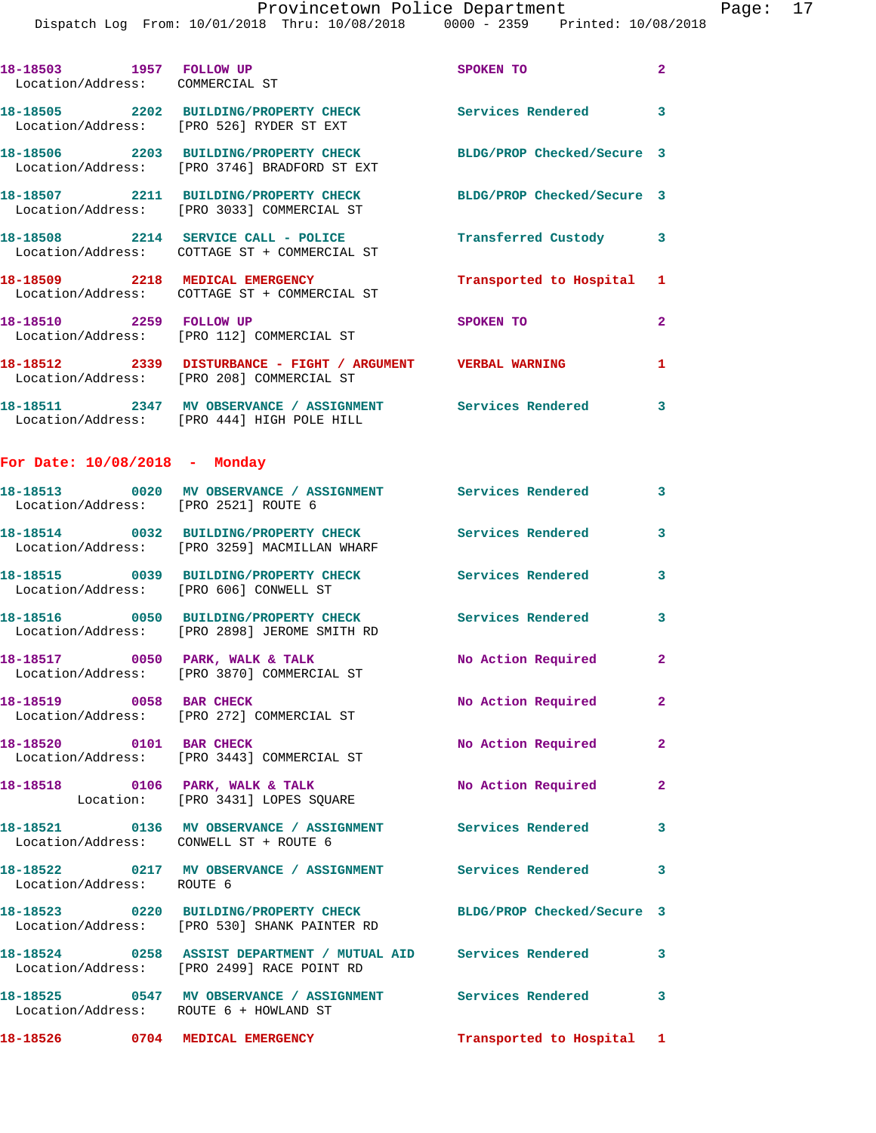| 18-18503 1957 FOLLOW UP<br>Location/Address: COMMERCIAL ST |                                                                                                                      | SPOKEN TO                  | $\mathbf{2}$   |  |  |
|------------------------------------------------------------|----------------------------------------------------------------------------------------------------------------------|----------------------------|----------------|--|--|
|                                                            | 18-18505 2202 BUILDING/PROPERTY CHECK<br>Location/Address: [PRO 526] RYDER ST EXT                                    | Services Rendered 3        |                |  |  |
|                                                            | 18-18506 2203 BUILDING/PROPERTY CHECK<br>Location/Address: [PRO 3746] BRADFORD ST EXT                                | BLDG/PROP Checked/Secure 3 |                |  |  |
|                                                            | 18-18507 2211 BUILDING/PROPERTY CHECK<br>Location/Address: [PRO 3033] COMMERCIAL ST                                  | BLDG/PROP Checked/Secure 3 |                |  |  |
|                                                            | 18-18508 2214 SERVICE CALL - POLICE<br>Location/Address: COTTAGE ST + COMMERCIAL ST                                  | Transferred Custody 3      |                |  |  |
|                                                            | 18-18509 2218 MEDICAL EMERGENCY<br>Location/Address: COTTAGE ST + COMMERCIAL ST                                      | Transported to Hospital 1  |                |  |  |
| 18-18510 2259 FOLLOW UP                                    | Location/Address: [PRO 112] COMMERCIAL ST                                                                            | SPOKEN TO                  | $\overline{a}$ |  |  |
|                                                            | 18-18512 2339 DISTURBANCE - FIGHT / ARGUMENT VERBAL WARNING<br>Location/Address: [PRO 208] COMMERCIAL ST             |                            | $\mathbf{1}$   |  |  |
|                                                            | 18-18511 2347 MV OBSERVANCE / ASSIGNMENT Services Rendered 3<br>Location/Address: [PRO 444] HIGH POLE HILL           |                            |                |  |  |
| For Date: $10/08/2018$ - Monday                            |                                                                                                                      |                            |                |  |  |
| Location/Address: [PRO 2521] ROUTE 6                       | 18-18513 0020 MV OBSERVANCE / ASSIGNMENT Services Rendered 3                                                         |                            |                |  |  |
|                                                            | 18-18514 0032 BUILDING/PROPERTY CHECK<br>Location/Address: [PRO 3259] MACMILLAN WHARF                                | Services Rendered          | 3              |  |  |
| Location/Address: [PRO 606] CONWELL ST                     | 18-18515 0039 BUILDING/PROPERTY CHECK                                                                                | <b>Services Rendered</b>   | 3              |  |  |
|                                                            | 18-18516 0050 BUILDING/PROPERTY CHECK<br>Location/Address: [PRO 2898] JEROME SMITH RD                                | <b>Services Rendered</b>   | 3              |  |  |
|                                                            | 18-18517 0050 PARK, WALK & TALK<br>Location/Address: [PRO 3870] COMMERCIAL ST                                        | No Action Required 2       |                |  |  |
| 18-18519 0058 BAR CHECK                                    | Location/Address: [PRO 272] COMMERCIAL ST                                                                            | No Action Required         | $\mathbf{2}^-$ |  |  |
| 18-18520 0101 BAR CHECK                                    | Location/Address: [PRO 3443] COMMERCIAL ST                                                                           | No Action Required         | $\mathbf{2}$   |  |  |
|                                                            | 18-18518 0106 PARK, WALK & TALK<br>Location: [PRO 3431] LOPES SQUARE                                                 | No Action Required         | $\mathbf{2}$   |  |  |
| Location/Address: CONWELL ST + ROUTE 6                     | 18-18521 0136 MV OBSERVANCE / ASSIGNMENT Services Rendered                                                           |                            | 3              |  |  |
| Location/Address: ROUTE 6                                  | 18-18522 0217 MV OBSERVANCE / ASSIGNMENT Services Rendered 3                                                         |                            |                |  |  |
|                                                            | 18-18523 0220 BUILDING/PROPERTY CHECK BLDG/PROP Checked/Secure 3<br>Location/Address: [PRO 530] SHANK PAINTER RD     |                            |                |  |  |
|                                                            | 18-18524 0258 ASSIST DEPARTMENT / MUTUAL AID Services Rendered 3<br>Location/Address: [PRO 2499] RACE POINT RD       |                            |                |  |  |
| Location/Address: ROUTE 6 + HOWLAND ST                     | 18-18525                0547     MV  OBSERVANCE  /  ASSIGNMENT                  Services  Rendered                 3 |                            |                |  |  |
| 18-18526 0704 MEDICAL EMERGENCY                            |                                                                                                                      | Transported to Hospital 1  |                |  |  |